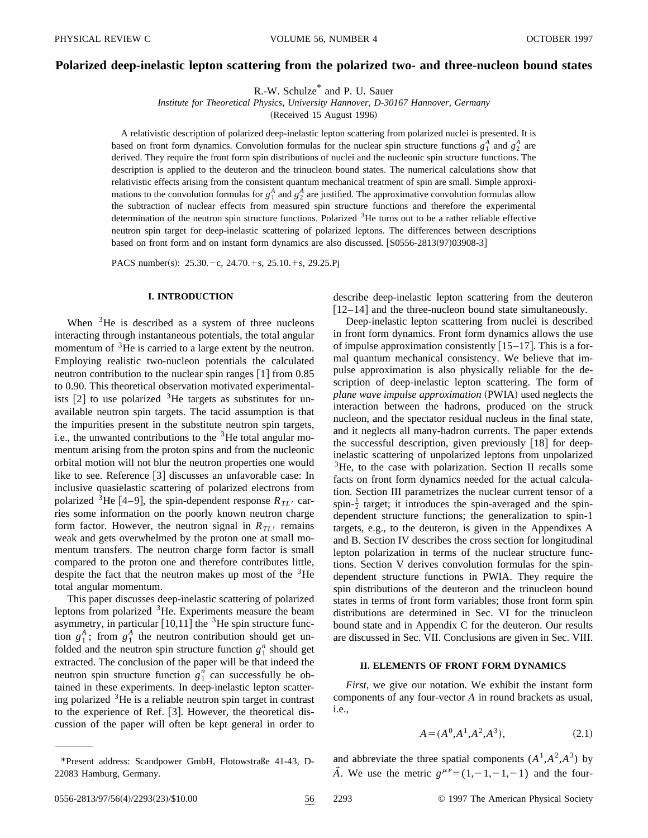# **Polarized deep-inelastic lepton scattering from the polarized two- and three-nucleon bound states**

R.-W. Schulze\* and P. U. Sauer

*Institute for Theoretical Physics, University Hannover, D-30167 Hannover, Germany*

(Received 15 August 1996)

A relativistic description of polarized deep-inelastic lepton scattering from polarized nuclei is presented. It is based on front form dynamics. Convolution formulas for the nuclear spin structure functions  $g_1^A$  and  $g_2^A$  are derived. They require the front form spin distributions of nuclei and the nucleonic spin structure functions. The description is applied to the deuteron and the trinucleon bound states. The numerical calculations show that relativistic effects arising from the consistent quantum mechanical treatment of spin are small. Simple approximations to the convolution formulas for  $g_1^A$  and  $g_2^A$  are justified. The approximative convolution formulas allow the subtraction of nuclear effects from measured spin structure functions and therefore the experimental determination of the neutron spin structure functions. Polarized <sup>3</sup>He turns out to be a rather reliable effective neutron spin target for deep-inelastic scattering of polarized leptons. The differences between descriptions based on front form and on instant form dynamics are also discussed.  $[ $S0556-2813(97)03908-3$ ]$ 

PACS number(s):  $25.30.-c$ ,  $24.70.+s$ ,  $25.10.+s$ ,  $29.25.Pj$ 

# **I. INTRODUCTION**

When  ${}^{3}$ He is described as a system of three nucleons interacting through instantaneous potentials, the total angular momentum of  $3$ He is carried to a large extent by the neutron. Employing realistic two-nucleon potentials the calculated neutron contribution to the nuclear spin ranges  $\lceil 1 \rceil$  from 0.85 to 0.90. This theoretical observation motivated experimentalists  $[2]$  to use polarized <sup>3</sup>He targets as substitutes for unavailable neutron spin targets. The tacid assumption is that the impurities present in the substitute neutron spin targets, i.e., the unwanted contributions to the  $3$ He total angular momentum arising from the proton spins and from the nucleonic orbital motion will not blur the neutron properties one would like to see. Reference  $\lceil 3 \rceil$  discusses an unfavorable case: In inclusive quasielastic scattering of polarized electrons from polarized <sup>3</sup>He [4–9], the spin-dependent response  $R_{TL}$  carries some information on the poorly known neutron charge form factor. However, the neutron signal in  $R_{TL}$  remains weak and gets overwhelmed by the proton one at small momentum transfers. The neutron charge form factor is small compared to the proton one and therefore contributes little, despite the fact that the neutron makes up most of the  ${}^{3}$ He total angular momentum.

This paper discusses deep-inelastic scattering of polarized leptons from polarized  $3$ He. Experiments measure the beam asymmetry, in particular  $[10,11]$  the <sup>3</sup>He spin structure function  $g_1^A$ ; from  $g_1^A$  the neutron contribution should get unfolded and the neutron spin structure function  $g_1^n$  should get extracted. The conclusion of the paper will be that indeed the neutron spin structure function  $g_1^n$  can successfully be obtained in these experiments. In deep-inelastic lepton scattering polarized  ${}^{3}$ He is a reliable neutron spin target in contrast to the experience of Ref.  $[3]$ . However, the theoretical discussion of the paper will often be kept general in order to describe deep-inelastic lepton scattering from the deuteron  $\left[12-14\right]$  and the three-nucleon bound state simultaneously.

Deep-inelastic lepton scattering from nuclei is described in front form dynamics. Front form dynamics allows the use of impulse approximation consistently  $[15-17]$ . This is a formal quantum mechanical consistency. We believe that impulse approximation is also physically reliable for the description of deep-inelastic lepton scattering. The form of *plane wave impulse approximation* (PWIA) used neglects the interaction between the hadrons, produced on the struck nucleon, and the spectator residual nucleus in the final state, and it neglects all many-hadron currents. The paper extends the successful description, given previously  $|18|$  for deepinelastic scattering of unpolarized leptons from unpolarized  $3$ He, to the case with polarization. Section II recalls some facts on front form dynamics needed for the actual calculation. Section III parametrizes the nuclear current tensor of a spin- $\frac{1}{2}$  target; it introduces the spin-averaged and the spindependent structure functions; the generalization to spin-1 targets, e.g., to the deuteron, is given in the Appendixes A and B. Section IV describes the cross section for longitudinal lepton polarization in terms of the nuclear structure functions. Section V derives convolution formulas for the spindependent structure functions in PWIA. They require the spin distributions of the deuteron and the trinucleon bound states in terms of front form variables; those front form spin distributions are determined in Sec. VI for the trinucleon bound state and in Appendix C for the deuteron. Our results are discussed in Sec. VII. Conclusions are given in Sec. VIII.

# **II. ELEMENTS OF FRONT FORM DYNAMICS**

*First*, we give our notation. We exhibit the instant form components of any four-vector *A* in round brackets as usual, i.e.,

$$
A = (A^0, A^1, A^2, A^3), \tag{2.1}
$$

and abbreviate the three spatial components  $(A^1, A^2, A^3)$  by  $\tilde{A}$ . We use the metric  $g^{\mu\nu}=(1,-1,-1,-1)$  and the four-

<sup>\*</sup>Present address: Scandpower GmbH, Flotowstraße 41-43, D-22083 Hamburg, Germany.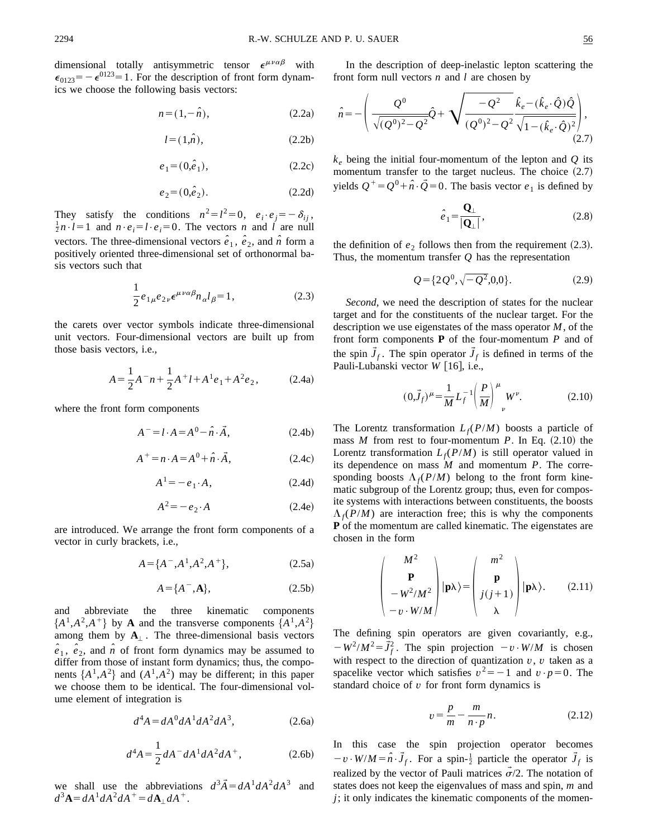dimensional totally antisymmetric tensor  $\epsilon^{\mu\nu\alpha\beta}$  with  $\epsilon_{0123} = -\epsilon^{0123} = 1$ . For the description of front form dynamics we choose the following basis vectors:

$$
n = (1, -\hat{n}),\tag{2.2a}
$$

$$
l = (1, \hat{n}),\tag{2.2b}
$$

$$
e_1 = (0, \hat{e}_1), \tag{2.2c}
$$

$$
e_2 = (0, \hat{e}_2). \tag{2.2d}
$$

They satisfy the conditions  $n^2=l^2=0$ ,  $e_i\cdot e_j=-\delta_{ij}$ ,  $\ell_i=l-1$  and  $\mu_i e_j=l-2$ , The vectors  $\mu_i$  and  $l_i$  are will  $\frac{1}{2}n \cdot l = 1$  and  $n \cdot e_i = l \cdot e_i = 0$ . The vectors *n* and *l* are null vectors. The three-dimensional vectors  $\hat{e}_1$ ,  $\hat{e}_2$ , and  $\hat{n}$  form a positively oriented three-dimensional set of orthonormal basis vectors such that

$$
\frac{1}{2}e_{1\mu}e_{2\nu}\epsilon^{\mu\nu\alpha\beta}n_{\alpha}l_{\beta}=1,
$$
\n(2.3)

the carets over vector symbols indicate three-dimensional unit vectors. Four-dimensional vectors are built up from those basis vectors, i.e.,

$$
A = \frac{1}{2}A^{-}n + \frac{1}{2}A^{+}l + A^{1}e_{1} + A^{2}e_{2},
$$
 (2.4a)

where the front form components

$$
A^- = l \cdot A = A^0 - \hat{n} \cdot \vec{A}, \qquad (2.4b)
$$

$$
A^+ = n \cdot A = A^0 + \hat{n} \cdot \vec{A}, \qquad (2.4c)
$$

$$
A^1 = -e_1 \cdot A,\tag{2.4d}
$$

$$
A^2 = -e_2 \cdot A \tag{2.4e}
$$

are introduced. We arrange the front form components of a vector in curly brackets, i.e.,

$$
A = \{A^{-}, A^{1}, A^{2}, A^{+}\},\tag{2.5a}
$$

$$
A = \{A^{-}, \mathbf{A}\},\tag{2.5b}
$$

and abbreviate the three kinematic components  ${A<sup>1</sup>, A<sup>2</sup>, A<sup>+</sup>}$  by **A** and the transverse components  ${A<sup>1</sup>, A<sup>2</sup>}$ among them by  $A_{\perp}$ . The three-dimensional basis vectors  $\hat{e}_1$ ,  $\hat{e}_2$ , and  $\hat{n}$  of front form dynamics may be assumed to differ from those of instant form dynamics; thus, the components  $\{A^1, A^2\}$  and  $(A^1, A^2)$  may be different; in this paper we choose them to be identical. The four-dimensional volume element of integration is

$$
d^4A = dA^0 dA^1 dA^2 dA^3, \qquad (2.6a)
$$

$$
d^4A = \frac{1}{2} dA^- dA^1 dA^2 dA^+, \qquad (2.6b)
$$

we shall use the abbreviations  $d^3\vec{A} = dA^1 dA^2 dA^3$  and  $d^{3}$ **A**= $dA^{1}dA^{2}dA^{+} = dA_{1}dA^{+}$ .

In the description of deep-inelastic lepton scattering the front form null vectors *n* and *l* are chosen by

$$
\hat{n} = -\left(\frac{Q^0}{\sqrt{(Q^0)^2 - Q^2}}\hat{Q} + \sqrt{\frac{-Q^2}{(Q^0)^2 - Q^2}} \frac{\hat{k}_e - (\hat{k}_e \cdot \hat{Q})\hat{Q}}{\sqrt{1 - (\hat{k}_e \cdot \hat{Q})^2}}\right),\tag{2.7}
$$

 $k_e$  being the initial four-momentum of the lepton and  $Q$  its momentum transfer to the target nucleus. The choice  $(2.7)$ yields  $Q^+ = Q^0 + \hat{n} \cdot \vec{Q} = 0$ . The basis vector  $e_1$  is defined by

$$
\hat{e}_1 = \frac{\mathbf{Q}_\perp}{|\mathbf{Q}_\perp|},\tag{2.8}
$$

the definition of  $e_2$  follows then from the requirement  $(2.3)$ . Thus, the momentum transfer *Q* has the representation

$$
Q = \{2Q^0, \sqrt{-Q^2}, 0, 0\}.
$$
 (2.9)

*Second*, we need the description of states for the nuclear target and for the constituents of the nuclear target. For the description we use eigenstates of the mass operator *M*, of the front form components **P** of the four-momentum *P* and of the spin  $\vec{J}_f$ . The spin operator  $\vec{J}_f$  is defined in terms of the Pauli-Lubanski vector *W* [16], i.e.,

$$
(0,\vec{J}_f)^{\mu} = \frac{1}{M} L_f^{-1} \left(\frac{P}{M}\right)^{\mu} W^{\nu}.
$$
 (2.10)

The Lorentz transformation  $L_f(P/M)$  boosts a particle of mass  $M$  from rest to four-momentum  $P$ . In Eq.  $(2.10)$  the Lorentz transformation  $L_f(P/M)$  is still operator valued in its dependence on mass *M* and momentum *P*. The corresponding boosts  $\Lambda_f(P/M)$  belong to the front form kinematic subgroup of the Lorentz group; thus, even for composite systems with interactions between constituents, the boosts  $\Lambda_f(P/M)$  are interaction free; this is why the components **P** of the momentum are called kinematic. The eigenstates are chosen in the form

$$
\begin{pmatrix}\nM^2 \\
P \\
-W^2/M^2 \\
-v\cdot W/M\n\end{pmatrix} |p\lambda\rangle = \begin{pmatrix}\nm^2 \\
p \\
j(j+1) \\
\lambda\n\end{pmatrix} |p\lambda\rangle.
$$
 (2.11)

The defining spin operators are given covariantly, e.g.,  $-W^2/M^2 = \vec{J}_f^2$ . The spin projection  $-v \cdot W/M$  is chosen with respect to the direction of quantization  $v, v$  taken as a spacelike vector which satisfies  $v^2 = -1$  and  $v \cdot p = 0$ . The standard choice of  $v$  for front form dynamics is

$$
v = \frac{p}{m} - \frac{m}{n \cdot p} n. \tag{2.12}
$$

In this case the spin projection operator becomes  $-v \cdot W/M = \hat{n} \cdot \vec{J}_f$ . For a spin- $\frac{1}{2}$  particle the operator  $\vec{J}_f$  is realized by the vector of Pauli matrices  $\vec{\sigma}/2$ . The notation of states does not keep the eigenvalues of mass and spin, *m* and *j*; it only indicates the kinematic components of the momen-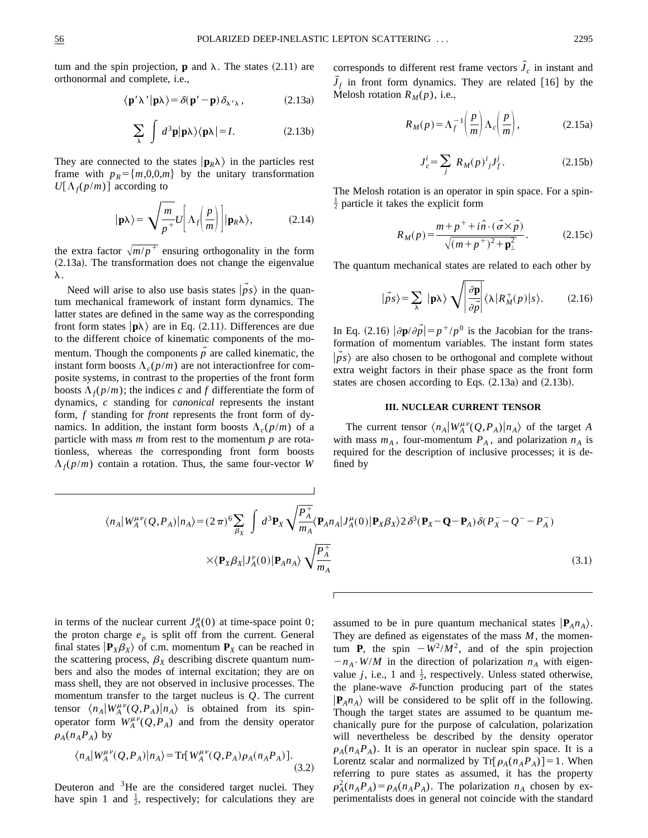

tum and the spin projection, **p** and  $\lambda$ . The states  $(2.11)$  are

orthonormal and complete, i.e.,

$$
|\mathbf{p}\lambda\rangle = \sqrt{\frac{m}{p^+}} U \bigg[ \Lambda_f \bigg( \frac{p}{m} \bigg) \bigg] |\mathbf{p}_R \lambda\rangle, \tag{2.14}
$$

 $\langle \mathbf{p}' \lambda' | \mathbf{p} \lambda \rangle = \delta(\mathbf{p}' - \mathbf{p}) \delta_{\lambda'} ,$  (2.13a)

the extra factor  $\sqrt{m/p^+}$  ensuring orthogonality in the form  $(2.13a)$ . The transformation does not change the eigenvalue  $\lambda$ .

Need will arise to also use basis states  $|p s\rangle$  in the quantum mechanical framework of instant form dynamics. The latter states are defined in the same way as the corresponding front form states  $|\mathbf{p}\rangle$  are in Eq. (2.11). Differences are due to the different choice of kinematic components of the momentum. Though the components  $p$  are called kinematic, the instant form boosts  $\Lambda_c(p/m)$  are not interactionfree for composite systems, in contrast to the properties of the front form boosts  $\Lambda_f(p/m)$ ; the indices *c* and *f* differentiate the form of dynamics, *c* standing for *canonical* represents the instant form, *f* standing for *front* represents the front form of dynamics. In addition, the instant form boosts  $\Lambda_c(p/m)$  of a particle with mass *m* from rest to the momentum *p* are rotationless, whereas the corresponding front form boosts  $\Lambda_f(p/m)$  contain a rotation. Thus, the same four-vector *W*  corresponds to different rest frame vectors  $J_c$  in instant and  $J_f$  in front form dynamics. They are related [16] by the Melosh rotation  $R_M(p)$ , i.e.,

$$
R_M(p) = \Lambda_f^{-1} \left( \frac{p}{m} \right) \Lambda_c \left( \frac{p}{m} \right), \tag{2.15a}
$$

$$
J_c^i = \sum_j R_M(p)^i_j J_f^j.
$$
 (2.15b)

The Melosh rotation is an operator in spin space. For a spin- $\frac{1}{2}$  particle it takes the explicit form

$$
R_M(p) = \frac{m + p^+ + i\hat{n} \cdot (\vec{\sigma} \times \vec{p})}{\sqrt{(m + p^+)^2 + \mathbf{p}_\perp^2}}.
$$
 (2.15c)

The quantum mechanical states are related to each other by

$$
|\vec{ps}\rangle = \sum_{\lambda} | \mathbf{p} \lambda \rangle \sqrt{\left| \frac{\partial \mathbf{p}}{\partial \vec{p}} \right|} \langle \lambda | R_M^+(p) | s \rangle.
$$
 (2.16)

In Eq. (2.16)  $|\partial \mathbf{p}/\partial \vec{p}| = p^+/p^0$  is the Jacobian for the transformation of momentum variables. The instant form states  $|p_s\rangle$  are also chosen to be orthogonal and complete without extra weight factors in their phase space as the front form states are chosen according to Eqs.  $(2.13a)$  and  $(2.13b)$ .

# **III. NUCLEAR CURRENT TENSOR**

The current tensor  $\langle n_A | W_A^{\mu\nu}(Q, P_A) | n_A \rangle$  of the target *A* with mass  $m_A$ , four-momentum  $P_A$ , and polarization  $n_A$  is required for the description of inclusive processes; it is defined by

$$
\langle n_A | W_A^{\mu\nu}(Q, P_A) | n_A \rangle = (2\pi)^6 \sum_{\beta_X} \int d^3 \mathbf{P}_X \sqrt{\frac{P_A^+}{m_A}} \langle \mathbf{P}_A n_A | J_A^{\mu}(0) | \mathbf{P}_X \beta_X \rangle 2 \delta^3 (\mathbf{P}_X - \mathbf{Q} - \mathbf{P}_A) \delta (P_X^- - Q^- - P_A^-)
$$
  
 
$$
\times \langle \mathbf{P}_X \beta_X | J_A^{\nu}(0) | \mathbf{P}_A n_A \rangle \sqrt{\frac{P_A^+}{m_A}} \tag{3.1}
$$

in terms of the nuclear current  $J_A^{\mu}(0)$  at time-space point 0; the proton charge  $e_p$  is split off from the current. General final states  $|\mathbf{P}_X \beta_X\rangle$  of c.m. momentum  $\mathbf{P}_X$  can be reached in the scattering process,  $\beta_X$  describing discrete quantum numbers and also the modes of internal excitation; they are on mass shell, they are not observed in inclusive processes. The momentum transfer to the target nucleus is *Q*. The current tensor  $\langle n_A | W_A^{\mu\nu}(Q, P_A) | n_A \rangle$  is obtained from its spinoperator form  $W_A^{\mu\nu}(Q, P_A)$  and from the density operator  $\rho_A(n_A P_A)$  by

$$
\langle n_A | W_A^{\mu\nu}(Q, P_A) | n_A \rangle = \text{Tr}[ W_A^{\mu\nu}(Q, P_A) \rho_A(n_A P_A)]. \tag{3.2}
$$

Deuteron and  $3$ He are the considered target nuclei. They have spin 1 and  $\frac{1}{2}$ , respectively; for calculations they are

assumed to be in pure quantum mechanical states  $|\mathbf{P}_A n_A\rangle$ . They are defined as eigenstates of the mass *M*, the momentum **P**, the spin  $-W^2/M^2$ , and of the spin projection  $-n_A \cdot W/M$  in the direction of polarization  $n_A$  with eigenvalue  $j$ , i.e., 1 and  $\frac{1}{2}$ , respectively. Unless stated otherwise, the plane-wave  $\delta$ -function producing part of the states  $\left| \mathbf{P}_{A}n_{A} \right\rangle$  will be considered to be split off in the following. Though the target states are assumed to be quantum mechanically pure for the purpose of calculation, polarization will nevertheless be described by the density operator  $\rho_A(n_A P_A)$ . It is an operator in nuclear spin space. It is a Lorentz scalar and normalized by  $Tr[\rho_A(n_A P_A)] = 1$ . When referring to pure states as assumed, it has the property  $\rho_A^2(n_A P_A) = \rho_A(n_A P_A)$ . The polarization  $n_A$  chosen by experimentalists does in general not coincide with the standard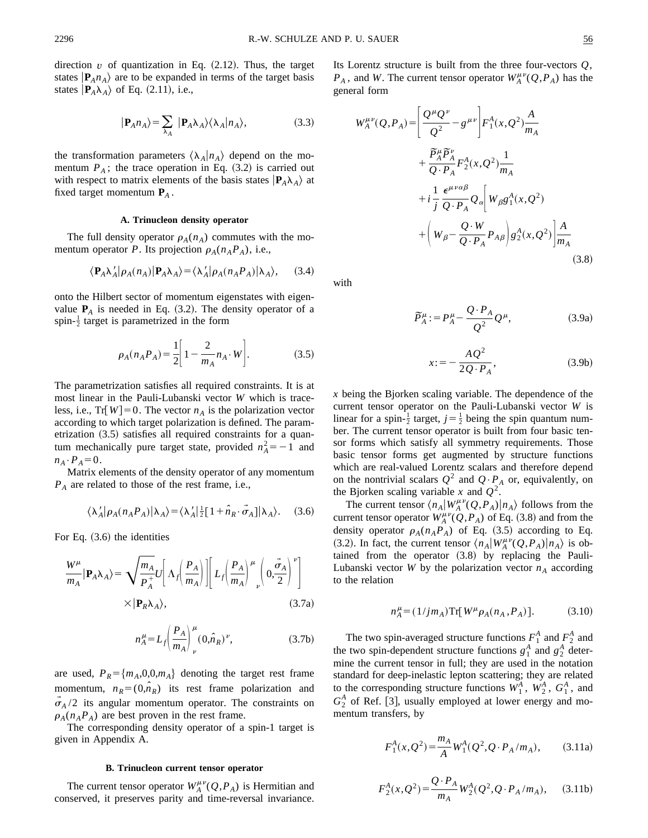direction  $v$  of quantization in Eq.  $(2.12)$ . Thus, the target states  $|\mathbf{P}_A n_A\rangle$  are to be expanded in terms of the target basis states  $|\mathbf{P}_A \lambda_A\rangle$  of Eq. (2.11), i.e.,

$$
|\mathbf{P}_{A}n_{A}\rangle = \sum_{\lambda_{A}} | \mathbf{P}_{A}\lambda_{A}\rangle \langle \lambda_{A} | n_{A}\rangle, \tag{3.3}
$$

the transformation parameters  $\langle \lambda_A | n_A \rangle$  depend on the momentum  $P_A$ ; the trace operation in Eq.  $(3.2)$  is carried out with respect to matrix elements of the basis states  $|\mathbf{P}_A \lambda_A \rangle$  at fixed target momentum  $P_A$ .

#### **A. Trinucleon density operator**

The full density operator  $\rho_A(n_A)$  commutes with the momentum operator *P*. Its projection  $\rho_A(n_A P_A)$ , i.e.,

$$
\langle \mathbf{P}_A \lambda'_A | \rho_A(n_A) | \mathbf{P}_A \lambda_A \rangle = \langle \lambda'_A | \rho_A(n_A P_A) | \lambda_A \rangle, \tag{3.4}
$$

onto the Hilbert sector of momentum eigenstates with eigenvalue  $P_A$  is needed in Eq. (3.2). The density operator of a spin- $\frac{1}{2}$  target is parametrized in the form

$$
\rho_A(n_A P_A) = \frac{1}{2} \left[ 1 - \frac{2}{m_A} n_A \cdot W \right].
$$
\n(3.5)

The parametrization satisfies all required constraints. It is at most linear in the Pauli-Lubanski vector *W* which is traceless, i.e.,  $Tr[W] = 0$ . The vector  $n_A$  is the polarization vector according to which target polarization is defined. The parametrization  $(3.5)$  satisfies all required constraints for a quantum mechanically pure target state, provided  $n_A^2 = -1$  and  $n_A \cdot P_A = 0$ .

Matrix elements of the density operator of any momentum *PA* are related to those of the rest frame, i.e.,

$$
\langle \lambda_A' | \rho_A(n_A P_A) | \lambda_A \rangle = \langle \lambda_A' | \frac{1}{2} [1 + \hat{n}_R \cdot \vec{\sigma}_A] | \lambda_A \rangle. \tag{3.6}
$$

For Eq.  $(3.6)$  the identities

$$
\frac{W^{\mu}}{m_{A}}|\mathbf{P}_{A}\lambda_{A}\rangle = \sqrt{\frac{m_{A}}{P_{A}^{+}}}U\left[\Lambda_{f}\left(\frac{P_{A}}{m_{A}}\right)\right]\left[L_{f}\left(\frac{P_{A}}{m_{A}}\right)^{\mu}\left(0,\frac{\vec{\sigma}_{A}}{2}\right)^{\nu}\right] \times |\mathbf{P}_{R}\lambda_{A}\rangle, \tag{3.7a}
$$

$$
n_A^{\mu} = L_f \left(\frac{P_A}{m_A}\right)^{\mu} (0, \hat{n}_R)^{\nu}, \tag{3.7b}
$$

are used,  $P_R = \{m_A, 0, 0, m_A\}$  denoting the target rest frame momentum,  $n_R = (0, n_R)$  its rest frame polarization and  $\sigma_A/2$  its angular momentum operator. The constraints on  $\rho_A(n_A P_A)$  are best proven in the rest frame.

The corresponding density operator of a spin-1 target is given in Appendix A.

# **B. Trinucleon current tensor operator**

The current tensor operator  $W_A^{\mu\nu}(Q, P_A)$  is Hermitian and conserved, it preserves parity and time-reversal invariance. Its Lorentz structure is built from the three four-vectors *Q*,  $P_A$ , and *W*. The current tensor operator  $W_A^{\mu\nu}(Q, P_A)$  has the general form

$$
W_{A}^{\mu\nu}(Q, P_{A}) = \left[ \frac{Q^{\mu} Q^{\nu}}{Q^{2}} - g^{\mu\nu} \right] F_{1}^{A}(x, Q^{2}) \frac{A}{m_{A}}
$$
  
+ 
$$
\frac{\overline{P}_{A}^{\mu} \overline{P}_{A}^{\nu}}{Q \cdot P_{A}} F_{2}^{A}(x, Q^{2}) \frac{1}{m_{A}}
$$
  
+ 
$$
i \frac{1}{j} \frac{\epsilon^{\mu\nu\alpha\beta}}{Q \cdot P_{A}} Q_{\alpha} \left[ W_{\beta} g_{1}^{A}(x, Q^{2}) \right]
$$
  
+ 
$$
\left( W_{\beta} - \frac{Q \cdot W}{Q \cdot P_{A}} P_{A\beta} \right) g_{2}^{A}(x, Q^{2}) \frac{A}{m_{A}}
$$
(3.8)

with

$$
\widetilde{P}_A^{\mu} := P_A^{\mu} - \frac{Q \cdot P_A}{Q^2} Q^{\mu},\tag{3.9a}
$$

$$
x = -\frac{AQ^2}{2Q \cdot P_A},\tag{3.9b}
$$

*x* being the Bjorken scaling variable. The dependence of the current tensor operator on the Pauli-Lubanski vector *W* is linear for a spin- $\frac{1}{2}$  target,  $j = \frac{1}{2}$  being the spin quantum number. The current tensor operator is built from four basic tensor forms which satisfy all symmetry requirements. Those basic tensor forms get augmented by structure functions which are real-valued Lorentz scalars and therefore depend on the nontrivial scalars  $Q^2$  and  $Q \cdot P_A$  or, equivalently, on the Bjorken scaling variable *x* and  $Q^2$ .

The current tensor  $\langle n_A | W_A^{\mu\nu}(Q, P_A) | n_A \rangle$  follows from the current tensor operator  $W_A^{\mu\nu}(Q, P_A)$  of Eq. (3.8) and from the density operator  $\rho_A(n_A P_A)$  of Eq. (3.5) according to Eq. (3.2). In fact, the current tensor  $\langle n_A | W_A^{\mu\nu}(Q, P_A) | n_A \rangle$  is obtained from the operator  $(3.8)$  by replacing the Pauli-Lubanski vector *W* by the polarization vector  $n_A$  according to the relation

$$
n_A^{\mu} = (1/jm_A) \text{Tr} [W^{\mu} \rho_A(n_A, P_A)]. \tag{3.10}
$$

The two spin-averaged structure functions  $F_1^A$  and  $F_2^A$  and the two spin-dependent structure functions  $g_1^A$  and  $g_2^A$  determine the current tensor in full; they are used in the notation standard for deep-inelastic lepton scattering; they are related to the corresponding structure functions  $W_1^A$ ,  $W_2^A$ ,  $G_1^A$ , and  $G_2^A$  of Ref. [3], usually employed at lower energy and momentum transfers, by

$$
F_1^A(x, Q^2) = \frac{m_A}{A} W_1^A(Q^2, Q \cdot P_A / m_A), \quad (3.11a)
$$

$$
F_2^A(x, Q^2) = \frac{Q \cdot P_A}{m_A} W_2^A(Q^2, Q \cdot P_A/m_A), \quad (3.11b)
$$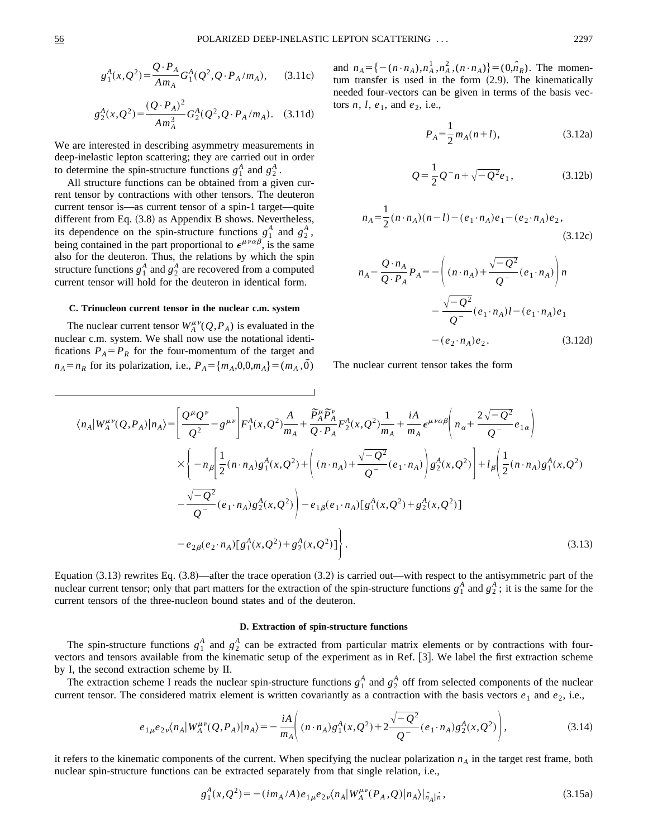$$
g_1^A(x, Q^2) = \frac{Q \cdot P_A}{Am_A} G_1^A(Q^2, Q \cdot P_A/m_A), \quad (3.11c)
$$

$$
g_2^A(x,Q^2) = \frac{(Q \cdot P_A)^2}{Am_A^3} G_2^A(Q^2, Q \cdot P_A/m_A). \quad (3.11d)
$$

We are interested in describing asymmetry measurements in deep-inelastic lepton scattering; they are carried out in order to determine the spin-structure functions  $g_1^A$  and  $g_2^A$ .

All structure functions can be obtained from a given current tensor by contractions with other tensors. The deuteron current tensor is—as current tensor of a spin-1 target—quite different from Eq.  $(3.8)$  as Appendix B shows. Nevertheless, its dependence on the spin-structure functions  $g_1^A$  and  $g_2^A$ , being contained in the part proportional to  $\epsilon^{\mu\nu\alpha\beta}$ , is the same also for the deuteron. Thus, the relations by which the spin structure functions  $g_1^A$  and  $g_2^A$  are recovered from a computed current tensor will hold for the deuteron in identical form.

# **C. Trinucleon current tensor in the nuclear c.m. system**

The nuclear current tensor  $W_A^{\mu\nu}(Q, P_A)$  is evaluated in the nuclear c.m. system. We shall now use the notational identifications  $P_A = P_R$  for the four-momentum of the target and  $n_A = n_R$  for its polarization, i.e.,  $P_A = \{m_A, 0, 0, m_A\} = (m_A, 0, 0)$ 

and  $n_A = \{ -(n \cdot n_A), n_A^1, n_A^2, (n \cdot n_A) \} = (0, n_R)$ . The momentum transfer is used in the form  $(2.9)$ . The kinematically needed four-vectors can be given in terms of the basis vectors  $n$ ,  $l$ ,  $e_1$ , and  $e_2$ , i.e.,

$$
P_A = \frac{1}{2} m_A(n+l), \tag{3.12a}
$$

$$
Q = \frac{1}{2}Q^{-}n + \sqrt{-Q^{2}}e_{1},
$$
 (3.12b)

$$
n_A = \frac{1}{2}(n \cdot n_A)(n-l) - (e_1 \cdot n_A)e_1 - (e_2 \cdot n_A)e_2,
$$
\n(3.12c)

$$
n_A - \frac{Q \cdot n_A}{Q \cdot P_A} P_A = -\left( (n \cdot n_A) + \frac{\sqrt{-Q^2}}{Q} (e_1 \cdot n_A) \right) n
$$

$$
- \frac{\sqrt{-Q^2}}{Q} (e_1 \cdot n_A) l - (e_1 \cdot n_A) e_1
$$

$$
- (e_2 \cdot n_A) e_2. \tag{3.12d}
$$

The nuclear current tensor takes the form

$$
\langle n_A | W_A^{\mu\nu}(Q, P_A) | n_A \rangle = \left[ \frac{Q^{\mu} Q^{\nu}}{Q^2} - g^{\mu\nu} \right] F_1^A(x, Q^2) \frac{A}{m_A} + \frac{\tilde{P}_A^{\mu} \tilde{P}_A^{\nu}}{Q \cdot P_A} F_2^A(x, Q^2) \frac{1}{m_A} + \frac{iA}{m_A} \epsilon^{\mu\nu\alpha\beta} \left( n_\alpha + \frac{2\sqrt{-Q^2}}{Q^-} e_{1\alpha} \right)
$$
  
 
$$
\times \left\{ -n_\beta \left[ \frac{1}{2} (n \cdot n_A) g_1^A(x, Q^2) + \left( (n \cdot n_A) + \frac{\sqrt{-Q^2}}{Q^-} (e_1 \cdot n_A) \right) g_2^A(x, Q^2) \right] + I_\beta \left( \frac{1}{2} (n \cdot n_A) g_1^A(x, Q^2) \right) \right\}
$$
  
 
$$
- \frac{\sqrt{-Q^2}}{Q^-} (e_1 \cdot n_A) g_2^A(x, Q^2) \left\} - e_{1\beta} (e_1 \cdot n_A) [g_1^A(x, Q^2) + g_2^A(x, Q^2)]
$$
  
 
$$
- e_{2\beta} (e_2 \cdot n_A) [g_1^A(x, Q^2) + g_2^A(x, Q^2)] \right\}.
$$
 (3.13)

Equation  $(3.13)$  rewrites Eq.  $(3.8)$ —after the trace operation  $(3.2)$  is carried out—with respect to the antisymmetric part of the nuclear current tensor; only that part matters for the extraction of the spin-structure functions  $g_1^A$  and  $g_2^A$ ; it is the same for the current tensors of the three-nucleon bound states and of the deuteron.

# **D. Extraction of spin-structure functions**

The spin-structure functions  $g_1^A$  and  $g_2^A$  can be extracted from particular matrix elements or by contractions with fourvectors and tensors available from the kinematic setup of the experiment as in Ref. [3]. We label the first extraction scheme by I, the second extraction scheme by II.

The extraction scheme I reads the nuclear spin-structure functions  $g_1^A$  and  $g_2^A$  off from selected components of the nuclear current tensor. The considered matrix element is written covariantly as a contraction with the basis vectors  $e_1$  and  $e_2$ , i.e.,

$$
e_{1\mu}e_{2\nu}\langle n_A|W_A^{\mu\nu}(Q,P_A)|n_A\rangle = -\frac{iA}{m_A}\bigg((n\cdot n_A)g_1^A(x,Q^2) + 2\frac{\sqrt{-Q^2}}{Q^-}(e_1\cdot n_A)g_2^A(x,Q^2)\bigg),\tag{3.14}
$$

it refers to the kinematic components of the current. When specifying the nuclear polarization  $n_A$  in the target rest frame, both nuclear spin-structure functions can be extracted separately from that single relation, i.e.,

$$
g_1^A(x, Q^2) = -(im_A/A)e_{1\mu}e_{2\nu}\langle n_A|W_A^{\mu\nu}(P_A, Q)|n_A\rangle|_{n_A\|\hat{n}\},\tag{3.15a}
$$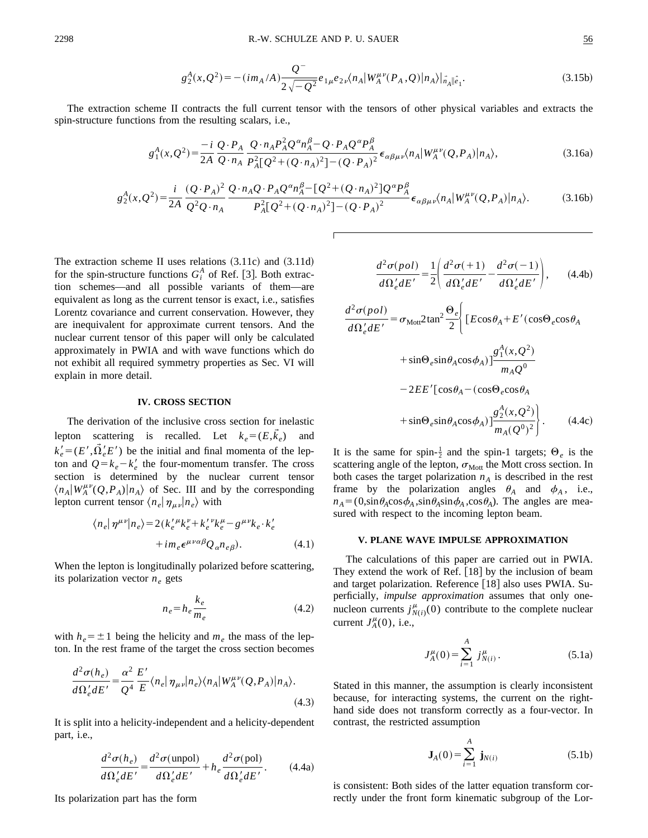$$
g_2^A(x,Q^2) = -(im_A/A)\frac{Q^-}{2\sqrt{-Q^2}}e_{1\mu}e_{2\nu}\langle n_A|W_A^{\mu\nu}(P_A,Q)|n_A\rangle|_{\vec{n}_A\parallel\hat{e}_1}.
$$
\n(3.15b)

The extraction scheme II contracts the full current tensor with the tensors of other physical variables and extracts the spin-structure functions from the resulting scalars, i.e.,

$$
g_1^A(x,Q^2) = \frac{-i}{2A} \frac{Q \cdot P_A}{Q \cdot n_A} \frac{Q \cdot n_A P_A^2 Q^{\alpha} n_A^{\beta} - Q \cdot P_A Q^{\alpha} P_A^{\beta}}{P_A^2 [Q^2 + (Q \cdot n_A)^2] - (Q \cdot P_A)^2} \epsilon_{\alpha\beta\mu\nu} \langle n_A | W_A^{\mu\nu}(Q, P_A) | n_A \rangle, \tag{3.16a}
$$

$$
g_2^A(x,Q^2) = \frac{i}{2A} \frac{(Q \cdot P_A)^2}{Q^2 Q \cdot n_A} \frac{Q \cdot n_A Q \cdot P_A Q^{\alpha} n_A^{\beta} - [Q^2 + (Q \cdot n_A)^2] Q^{\alpha} P_A^{\beta}}{P_A^2 [Q^2 + (Q \cdot n_A)^2] - (Q \cdot P_A)^2} \epsilon_{\alpha \beta \mu \nu} \langle n_A | W_A^{\mu \nu} (Q, P_A) | n_A \rangle. \tag{3.16b}
$$

The extraction scheme II uses relations  $(3.11c)$  and  $(3.11d)$ for the spin-structure functions  $G_i^A$  of Ref. [3]. Both extraction schemes—and all possible variants of them—are equivalent as long as the current tensor is exact, i.e., satisfies Lorentz covariance and current conservation. However, they are inequivalent for approximate current tensors. And the nuclear current tensor of this paper will only be calculated approximately in PWIA and with wave functions which do not exhibit all required symmetry properties as Sec. VI will explain in more detail.

# **IV. CROSS SECTION**

The derivation of the inclusive cross section for inelastic lepton scattering is recalled. Let  $k_e = (E, \vec{k}_e)$  and  $k'_e = (E', \vec{\Omega}'_e E')$  be the initial and final momenta of the lepton and  $Q = k_e - k'_e$  the four-momentum transfer. The cross section is determined by the nuclear current tensor  $\langle n_A | W_A^{\mu\nu}(Q, P_A) | n_A \rangle$  of Sec. III and by the corresponding lepton current tensor  $\langle n_e | \eta_{\mu\nu} | n_e \rangle$  with

$$
\langle n_e | \eta^{\mu\nu} | n_e \rangle = 2(k_e^{\prime \mu} k_e^{\nu} + k_e^{\prime \nu} k_e^{\mu} - g^{\mu\nu} k_e \cdot k_e^{\prime}
$$

$$
+ im_e \epsilon^{\mu\nu\alpha\beta} Q_\alpha n_{e\beta}). \tag{4.1}
$$

When the lepton is longitudinally polarized before scattering, its polarization vector  $n_e$  gets

$$
n_e = h_e \frac{k_e}{m_e} \tag{4.2}
$$

with  $h_e = \pm 1$  being the helicity and  $m_e$  the mass of the lepton. In the rest frame of the target the cross section becomes

$$
\frac{d^2\sigma(h_e)}{d\Omega'_e dE'} = \frac{\alpha^2}{Q^4} \frac{E'}{E} \langle n_e | \eta_{\mu\nu} | n_e \rangle \langle n_A | W_A^{\mu\nu}(Q, P_A) | n_A \rangle.
$$
\n(4.3)

It is split into a helicity-independent and a helicity-dependent part, i.e.,

$$
\frac{d^2\sigma(h_e)}{d\Omega'_e dE'} = \frac{d^2\sigma(\text{unpol})}{d\Omega'_e dE'} + h_e \frac{d^2\sigma(\text{pol})}{d\Omega'_e dE'}.
$$
 (4.4a)

Its polarization part has the form

$$
\frac{d^2\sigma(pol)}{d\Omega'_e dE'} = \frac{1}{2} \left( \frac{d^2\sigma(+1)}{d\Omega'_e dE'} - \frac{d^2\sigma(-1)}{d\Omega'_e dE'} \right), \qquad (4.4b)
$$

$$
\frac{d^2 \sigma(pol)}{d\Omega'_e dE'} = \sigma_{\text{Mott}} 2 \tan^2 \frac{\Theta_e}{2} \Biggl\{ \left[ E \cos \theta_A + E' (\cos \Theta_e \cos \theta_A \right. \right. \\ + \sin \Theta_e \sin \theta_A \cos \phi_A) \Biggr] \frac{g_1^A(x, Q^2)}{m_A Q^0} \\ - 2 E E' [\cos \theta_A - (\cos \Theta_e \cos \theta_A \right. \\ + \sin \Theta_e \sin \theta_A \cos \phi_A) \Biggr] \frac{g_2^A(x, Q^2)}{m_A (Q^0)^2} \Biggr\}.
$$
 (4.4c)

It is the same for spin- $\frac{1}{2}$  and the spin-1 targets;  $\Theta_e$  is the scattering angle of the lepton,  $\sigma_{\text{Mott}}$  the Mott cross section. In both cases the target polarization  $n_A$  is described in the rest frame by the polarization angles  $\theta_A$  and  $\phi_A$ , i.e.,  $n_A = (0, \sin \theta_A \cos \phi_A, \sin \theta_A \sin \phi_A, \cos \theta_A)$ . The angles are measured with respect to the incoming lepton beam.

#### **V. PLANE WAVE IMPULSE APPROXIMATION**

The calculations of this paper are carried out in PWIA. They extend the work of Ref.  $[18]$  by the inclusion of beam and target polarization. Reference  $[18]$  also uses PWIA. Superficially, *impulse approximation* assumes that only onenucleon currents  $j_{N(i)}^{\mu}(0)$  contribute to the complete nuclear current  $J_A^{\mu}(0)$ , i.e.,

$$
J_A^{\mu}(0) = \sum_{i=1}^{A} j_{N(i)}^{\mu}.
$$
 (5.1a)

Stated in this manner, the assumption is clearly inconsistent because, for interacting systems, the current on the righthand side does not transform correctly as a four-vector. In contrast, the restricted assumption

$$
\mathbf{J}_A(0) = \sum_{i=1}^A \mathbf{j}_{N(i)} \tag{5.1b}
$$

is consistent: Both sides of the latter equation transform correctly under the front form kinematic subgroup of the Lor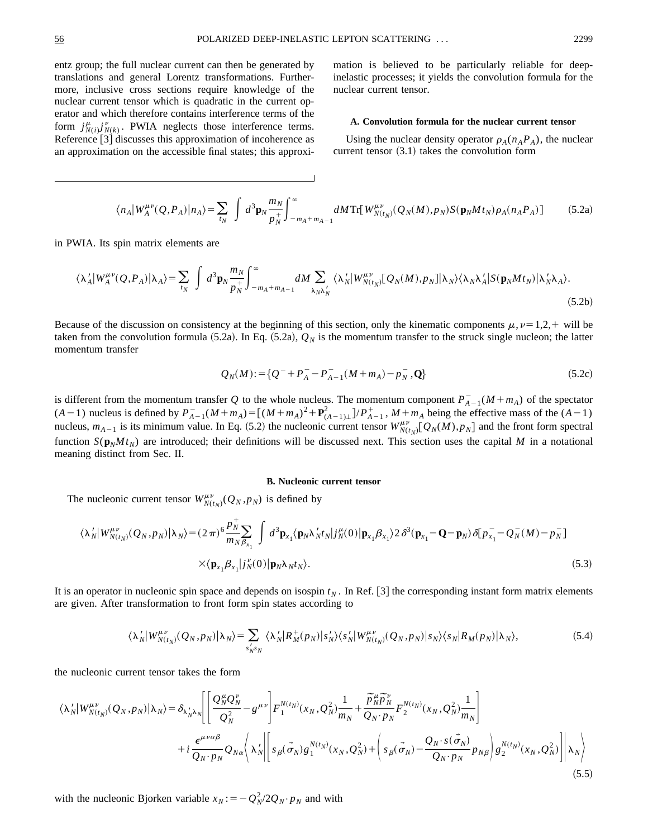entz group; the full nuclear current can then be generated by translations and general Lorentz transformations. Furthermore, inclusive cross sections require knowledge of the nuclear current tensor which is quadratic in the current operator and which therefore contains interference terms of the form  $j_{N(i)}^{\mu} j_{N(k)}^{\nu}$ . PWIA neglects those interference terms. Reference [3] discusses this approximation of incoherence as an approximation on the accessible final states; this approximation is believed to be particularly reliable for deepinelastic processes; it yields the convolution formula for the nuclear current tensor.

#### **A. Convolution formula for the nuclear current tensor**

Using the nuclear density operator  $\rho_A(n_A P_A)$ , the nuclear current tensor  $(3.1)$  takes the convolution form

$$
\langle n_A | W_A^{\mu\nu}(Q, P_A) | n_A \rangle = \sum_{t_N} \int d^3 \mathbf{p}_N \frac{m_N}{p_N^+} \int_{-m_A + m_{A-1}}^{\infty} dM \text{Tr} [ W_{N(t_N)}^{\mu\nu}(Q_N(M), p_N) S(\mathbf{p}_N M t_N) \rho_A(n_A P_A)] \tag{5.2a}
$$

in PWIA. Its spin matrix elements are

$$
\langle \lambda_A' | W_A^{\mu\nu}(Q, P_A) | \lambda_A \rangle = \sum_{t_N} \int d^3 \mathbf{p}_N \frac{m_N}{p_N^+} \int_{-m_A + m_{A-1}}^{\infty} dM \sum_{\lambda_N \lambda_N'} \langle \lambda_N' | W_{N(t_N)}^{\mu\nu} [Q_N(M), p_N] | \lambda_N \rangle \langle \lambda_N \lambda_A' | S(\mathbf{p}_N M t_N) | \lambda_N' \lambda_A \rangle. \tag{5.2b}
$$

Because of the discussion on consistency at the beginning of this section, only the kinematic components  $\mu$ ,  $\nu$ =1,2,+ will be taken from the convolution formula  $(5.2a)$ . In Eq.  $(5.2a)$ ,  $Q_N$  is the momentum transfer to the struck single nucleon; the latter momentum transfer

$$
Q_N(M) := \{ Q^- + P_A^- - P_{A-1}^- (M + m_A) - p_N^-, \mathbf{Q} \}
$$
\n(5.2c)

is different from the momentum transfer *Q* to the whole nucleus. The momentum component  $P_{A-1}^{-}(M+m_A)$  of the spectator  $(A-1)$  nucleus is defined by  $P_{A-1}^{-}(M+m_A) = [(M+m_A)^2 + P_{(A-1)\perp}^2]/P_{A-1}^+$ ,  $M+m_A$  being the effective mass of the  $(A-1)$ nucleus,  $m_{A-1}$  is its minimum value. In Eq. (5.2) the nucleonic current tensor  $W^{\mu\nu}_{N(t_N)}[Q_N(M), p_N]$  and the front form spectral function  $S(\mathbf{p}_N M t_N)$  are introduced; their definitions will be discussed next. This section uses the capital M in a notational meaning distinct from Sec. II.

#### **B. Nucleonic current tensor**

The nucleonic current tensor  $W^{\mu\nu}_{N(t_N)}(Q_N, p_N)$  is defined by

$$
\langle \lambda'_{N} | W^{\mu\nu}_{N(t_{N})}(Q_{N},p_{N}) | \lambda_{N} \rangle = (2\pi)^{6} \frac{p_{N}^{+}}{m_{N} \beta_{x_{1}}} \int d^{3} \mathbf{p}_{x_{1}} \langle \mathbf{p}_{N} \lambda'_{N} t_{N} | j_{N}^{\mu}(0) | \mathbf{p}_{x_{1}} \beta_{x_{1}} \rangle 2 \delta^{3}(\mathbf{p}_{x_{1}} - \mathbf{Q} - \mathbf{p}_{N}) \delta[p_{x_{1}}^{-} - Q_{N}^{-}(M) - p_{N}^{-}]
$$
  
 
$$
\times \langle \mathbf{p}_{x_{1}} \beta_{x_{1}} | j_{N}^{\nu}(0) | \mathbf{p}_{N} \lambda_{N} t_{N} \rangle.
$$
 (5.3)

It is an operator in nucleonic spin space and depends on isospin  $t<sub>N</sub>$ . In Ref. [3] the corresponding instant form matrix elements are given. After transformation to front form spin states according to

$$
\langle \lambda'_{N} | W^{\mu\nu}_{N(t_{N})}(\mathcal{Q}_{N}, p_{N}) | \lambda_{N} \rangle = \sum_{s'_{N}s_{N}} \langle \lambda'_{N} | R_{M}^{+}(p_{N}) | s'_{N} \rangle \langle s'_{N} | W^{\mu\nu}_{N(t_{N})}(\mathcal{Q}_{N}, p_{N}) | s_{N} \rangle \langle s_{N} | R_{M}(p_{N}) | \lambda_{N} \rangle, \tag{5.4}
$$

the nucleonic current tensor takes the form

$$
\langle \lambda'_{N} | W_{N(t_{N})}^{\mu\nu}(Q_{N},p_{N}) | \lambda_{N} \rangle = \delta_{\lambda'_{N}\lambda_{N}} \left[ \left[ \frac{Q_{N}^{\mu}Q_{N}^{\nu}}{Q_{N}^{2}} - g^{\mu\nu} \right] F_{1}^{N(t_{N})}(x_{N},Q_{N}^{2}) \frac{1}{m_{N}} + \frac{\tilde{p}_{N}^{\mu}\tilde{p}_{N}^{\nu}}{Q_{N} \cdot p_{N}} F_{2}^{N(t_{N})}(x_{N},Q_{N}^{2}) \frac{1}{m_{N}} \right] + i \frac{\epsilon^{\mu\nu\alpha\beta}}{Q_{N} \cdot p_{N}} Q_{N\alpha} \left\langle \lambda'_{N} \right| \left[ s_{\beta}(\vec{\sigma}_{N}) g_{1}^{N(t_{N})}(x_{N},Q_{N}^{2}) + \left( s_{\beta}(\vec{\sigma}_{N}) - \frac{Q_{N} \cdot s(\vec{\sigma}_{N})}{Q_{N} \cdot p_{N}} p_{N\beta} \right) g_{2}^{N(t_{N})}(x_{N},Q_{N}^{2}) \right] \left| \lambda_{N} \right\rangle \tag{5.5}
$$

with the nucleonic Bjorken variable  $x_N := -Q_N^2/2Q_N \cdot p_N$  and with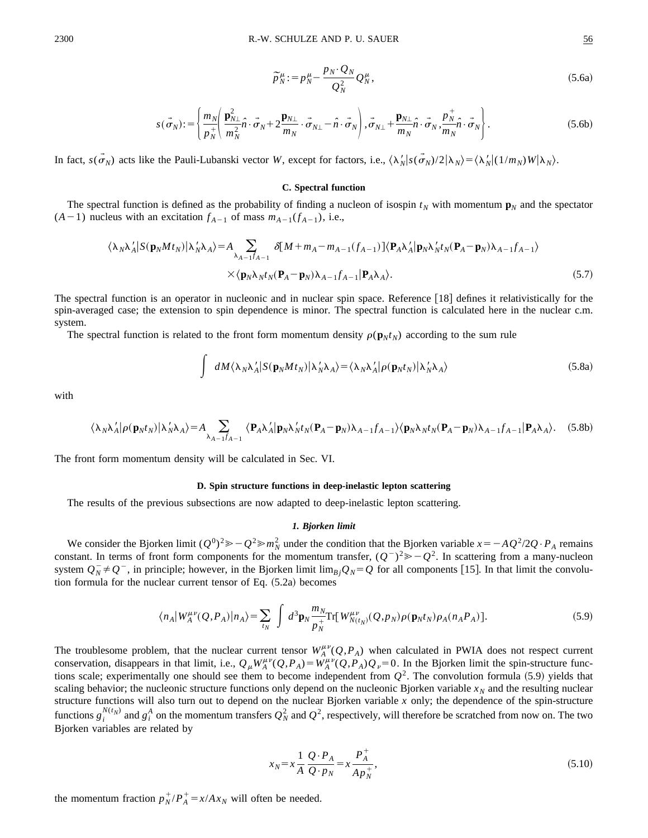$$
\widetilde{p}_{N}^{\mu} := p_{N}^{\mu} - \frac{p_{N} \cdot Q_{N}}{Q_{N}^{2}} Q_{N}^{\mu},\tag{5.6a}
$$

$$
s(\vec{\sigma}_N) := \left\{ \frac{m_N}{p_N^+} \left( \frac{\mathbf{p}_{N\perp}^2}{m_N^2} \cdot \vec{\sigma}_N + 2 \frac{\mathbf{p}_{N\perp}}{m_N} \cdot \vec{\sigma}_{N\perp} - \hat{n} \cdot \vec{\sigma}_N \right), \vec{\sigma}_{N\perp} + \frac{\mathbf{p}_{N\perp}}{m_N} \hat{n} \cdot \vec{\sigma}_N, \frac{p_N^+}{m_N} \hat{n} \cdot \vec{\sigma}_N \right\}.
$$
 (5.6b)

In fact,  $s(\vec{\sigma}_N)$  acts like the Pauli-Lubanski vector *W*, except for factors, i.e.,  $\langle \lambda'_N | s(\vec{\sigma}_N)/2 | \lambda_N \rangle = \langle \lambda'_N | (1/m_N)W | \lambda_N \rangle$ .

# **C. Spectral function**

The spectral function is defined as the probability of finding a nucleon of isospin  $t_N$  with momentum  $\mathbf{p}_N$  and the spectator  $(A-1)$  nucleus with an excitation  $f_{A-1}$  of mass  $m_{A-1}(f_{A-1})$ , i.e.,

$$
\langle \lambda_N \lambda'_A | S(\mathbf{p}_N M t_N) | \lambda'_N \lambda_A \rangle = A \sum_{\lambda_{A-1} f_{A-1}} \delta[M + m_A - m_{A-1} (f_{A-1})] \langle \mathbf{P}_A \lambda'_A | \mathbf{p}_N \lambda'_N t_N (\mathbf{P}_A - \mathbf{p}_N) \lambda_{A-1} f_{A-1} \rangle
$$
  
 
$$
\times \langle \mathbf{p}_N \lambda_N t_N (\mathbf{P}_A - \mathbf{p}_N) \lambda_{A-1} f_{A-1} | \mathbf{P}_A \lambda_A \rangle.
$$
 (5.7)

The spectral function is an operator in nucleonic and in nuclear spin space. Reference  $\lceil 18 \rceil$  defines it relativistically for the spin-averaged case; the extension to spin dependence is minor. The spectral function is calculated here in the nuclear c.m. system.

The spectral function is related to the front form momentum density  $\rho(\mathbf{p}_N t_N)$  according to the sum rule

$$
\int dM \langle \lambda_N \lambda'_A | S(\mathbf{p}_N M t_N) | \lambda'_N \lambda_A \rangle = \langle \lambda_N \lambda'_A | \rho(\mathbf{p}_N t_N) | \lambda'_N \lambda_A \rangle
$$
\n(5.8a)

with

$$
\langle \lambda_N \lambda'_A | \rho(\mathbf{p}_N t_N) | \lambda'_N \lambda_A \rangle = A \sum_{\lambda_{A-1} f_{A-1}} \langle \mathbf{P}_A \lambda'_A | \mathbf{p}_N \lambda'_N t_N (\mathbf{P}_A - \mathbf{p}_N) \lambda_{A-1} f_{A-1} \rangle \langle \mathbf{p}_N \lambda_N t_N (\mathbf{P}_A - \mathbf{p}_N) \lambda_{A-1} f_{A-1} | \mathbf{P}_A \lambda_A \rangle.
$$
 (5.8b)

The front form momentum density will be calculated in Sec. VI.

### **D. Spin structure functions in deep-inelastic lepton scattering**

The results of the previous subsections are now adapted to deep-inelastic lepton scattering.

#### *1. Bjorken limit*

We consider the Bjorken limit  $(Q^0)^2 \gg -Q^2 \gg m_N^2$  under the condition that the Bjorken variable  $x = -AQ^2/2Q \cdot P_A$  remains constant. In terms of front form components for the momentum transfer,  $(Q^{-})^2 \gg -Q^2$ . In scattering from a many-nucleon system  $Q_N^-\neq Q^-$ , in principle; however, in the Bjorken limit lim<sub>Bj</sub> $Q_N=Q$  for all components [15]. In that limit the convolution formula for the nuclear current tensor of Eq.  $(5.2a)$  becomes

$$
\langle n_A | W_A^{\mu\nu}(Q, P_A) | n_A \rangle = \sum_{t_N} \int d^3 \mathbf{p}_N \frac{m_N}{p_N} \text{Tr} [ W_{N(t_N)}^{\mu\nu}(Q, p_N) \rho(\mathbf{p}_N t_N) \rho_A(n_A P_A) ]. \tag{5.9}
$$

The troublesome problem, that the nuclear current tensor  $W_A^{\mu\nu}(Q, P_A)$  when calculated in PWIA does not respect current conservation, disappears in that limit, i.e.,  $Q_\mu W_A^{\mu\nu}(Q, P_A) = W_A^{\mu\nu}(Q, P_A)Q_\nu = 0$ . In the Bjorken limit the spin-structure functions scale; experimentally one should see them to become independent from  $Q^2$ . The convolution formula (5.9) yields that scaling behavior; the nucleonic structure functions only depend on the nucleonic Bjorken variable  $x_N$  and the resulting nuclear structure functions will also turn out to depend on the nuclear Bjorken variable *x* only; the dependence of the spin-structure functions  $g_i^{N(t_N)}$  and  $g_i^A$  on the momentum transfers  $Q_N^2$  and  $Q^2$ , respectively, will therefore be scratched from now on. The two Bjorken variables are related by

$$
x_N = x \frac{1}{A} \frac{Q \cdot P_A}{Q \cdot p_N} = x \frac{P_A^+}{A p_N^+},
$$
\n(5.10)

the momentum fraction  $p_N^+/P_A^+ = x/Ax_N$  will often be needed.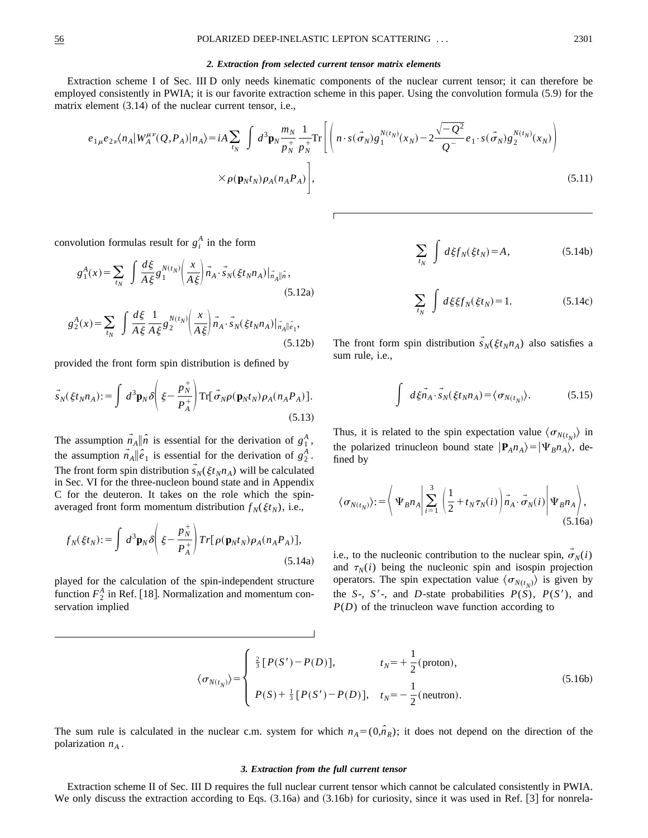#### *2. Extraction from selected current tensor matrix elements*

Extraction scheme I of Sec. III D only needs kinematic components of the nuclear current tensor; it can therefore be employed consistently in PWIA; it is our favorite extraction scheme in this paper. Using the convolution formula (5.9) for the matrix element  $(3.14)$  of the nuclear current tensor, i.e.,

$$
e_{1\mu}e_{2\nu}\langle n_A|W_A^{\mu\nu}(Q,P_A)|n_A\rangle = iA\sum_{t_N}\int d^3\mathbf{p}_N\frac{m_N}{p_N^+}\frac{1}{p_N^+}\text{Tr}\left[\left(n\cdot s(\vec{\sigma}_N)g_1^{N(t_N)}(x_N) - 2\frac{\sqrt{-Q^2}}{Q^-}e_1\cdot s(\vec{\sigma}_N)g_2^{N(t_N)}(x_N)\right)\right] \times \rho(\mathbf{p}_N t_N)\rho_A(n_A P_A)\right],\tag{5.11}
$$

convolution formulas result for  $g_i^A$  in the form

$$
g_1^A(x) = \sum_{t_N} \int \frac{d\xi}{A\xi} g_1^{N(t_N)} \left(\frac{x}{A\xi}\right) \vec{n}_A \cdot \vec{s}_N(\xi t_N n_A) |_{\vec{n}_A \parallel \hat{n}}^{\dagger},
$$
\n(5.12a)

$$
g_2^A(x) = \sum_{t_N} \int \frac{d\xi}{A\xi} \frac{1}{A\xi} g_2^{N(t_N)} \left(\frac{x}{A\xi}\right) \vec{n}_A \cdot \vec{s}_N(\xi t_N n_A) \left|\vec{n}_A\right| \hat{e}_1,\tag{5.12b}
$$

provided the front form spin distribution is defined by

$$
\vec{s}_N(\xi t_N n_A) := \int d^3 \mathbf{p}_N \delta \left( \xi - \frac{p_N^+}{P_A^+} \right) \text{Tr}[\vec{\sigma}_N \rho(\mathbf{p}_N t_N) \rho_A(n_A P_A)].
$$
\n(5.13)

The assumption  $\vec{n}_A \parallel \hat{n}$  is essential for the derivation of  $g_1^A$ , the assumption  $\vec{n}_A || \hat{e}_1$  is essential for the derivation of  $g_2^A$ . The front form spin distribution  $\vec{s}_N(\xi t_N n_A)$  will be calculated in Sec. VI for the three-nucleon bound state and in Appendix C for the deuteron. It takes on the role which the spinaveraged front form momentum distribution  $f_N(\xi t_N)$ , i.e.,

$$
f_N(\xi t_N) := \int d^3 \mathbf{p}_N \delta \left( \xi - \frac{p_N^+}{P_A^+} \right) Tr[\rho(\mathbf{p}_N t_N) \rho_A(n_A P_A)],
$$
\n(5.14a)

played for the calculation of the spin-independent structure function  $F_2^A$  in Ref. [18]. Normalization and momentum conservation implied

$$
\sum_{t_N} \int d\xi f_N(\xi t_N) = A, \qquad (5.14b)
$$

$$
\sum_{t_N} \int d\xi \xi f_N(\xi t_N) = 1. \tag{5.14c}
$$

The front form spin distribution  $\vec{s}_N(\xi t_N n_A)$  also satisfies a sum rule, i.e.,

$$
\int d\xi \vec{n}_A \cdot \vec{s}_N(\xi t_N n_A) = \langle \sigma_{N(t_N)} \rangle.
$$
 (5.15)

Thus, it is related to the spin expectation value  $\langle \sigma_{N(t_N)} \rangle$  in the polarized trinucleon bound state  $|\mathbf{P}_A n_A\rangle = |\Psi_B n_A\rangle$ , defined by

$$
\langle \sigma_{N(t_N)} \rangle = \left\langle \Psi_B n_A \middle| \sum_{i=1}^3 \left( \frac{1}{2} + t_N \tau_N(i) \right) \vec{n}_A \cdot \vec{\sigma}_N(i) \middle| \Psi_B n_A \right\rangle, \tag{5.16a}
$$

i.e., to the nucleonic contribution to the nuclear spin,  $\sigma_N(i)$ and  $\tau_N(i)$  being the nucleonic spin and isospin projection operators. The spin expectation value  $\langle \sigma_{N(t_N)} \rangle$  is given by the *S*-, *S'*-, and *D*-state probabilities  $P(S)$ ,  $P(S')$ , and *P(D)* of the trinucleon wave function according to

$$
\langle \sigma_{N(t_N)} \rangle = \begin{cases} \frac{2}{3} [P(S') - P(D)], & t_N = +\frac{1}{2} \text{(proton)},\\ P(S) + \frac{1}{3} [P(S') - P(D)], & t_N = -\frac{1}{2} \text{(neutron)}. \end{cases}
$$
(5.16b)

The sum rule is calculated in the nuclear c.m. system for which  $n_A=(0,\hat{n}_R)$ ; it does not depend on the direction of the polarization  $n_A$ .

### *3. Extraction from the full current tensor*

Extraction scheme II of Sec. III D requires the full nuclear current tensor which cannot be calculated consistently in PWIA. We only discuss the extraction according to Eqs.  $(3.16a)$  and  $(3.16b)$  for curiosity, since it was used in Ref.  $[3]$  for nonrela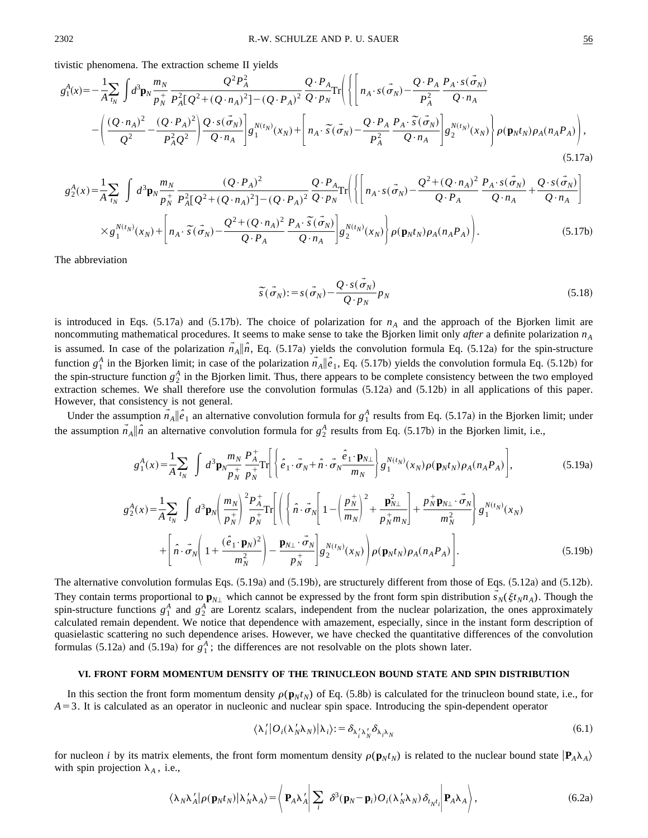tivistic phenomena. The extraction scheme II yields

$$
g_{1}^{A}(x) = -\frac{1}{A} \sum_{i_{N}} \int d^{3} \mathbf{p}_{N} \frac{m_{N}}{p_{N}^{+}} \frac{Q^{2} P_{A}^{2}}{P_{A}^{2} [Q^{2} + (Q \cdot n_{A})^{2}] - (Q \cdot P_{A})^{2}} \frac{Q \cdot P_{A}}{Q \cdot p_{N}} \text{Tr} \Bigg( \Bigg\{ \Bigg[ n_{A} \cdot s(\vec{\sigma}_{N}) - \frac{Q \cdot P_{A}}{P_{A}^{2}} \frac{P_{A} \cdot s(\vec{\sigma}_{N})}{Q \cdot n_{A}} - \Bigg( \frac{(Q \cdot n_{A})^{2}}{Q^{2}} - \frac{(Q \cdot P_{A})^{2}}{P_{A}^{2} Q^{2}} \Bigg) \frac{Q \cdot s(\vec{\sigma}_{N})}{Q \cdot n_{A}} \Bigg] g_{1}^{N(t_{N})}(x_{N}) + \Bigg[ n_{A} \cdot \tilde{s}(\vec{\sigma}_{N}) - \frac{Q \cdot P_{A}}{P_{A}^{2}} \frac{P_{A} \cdot \tilde{s}(\vec{\sigma}_{N})}{Q \cdot n_{A}} \Bigg] g_{2}^{N(t_{N})}(x_{N}) \Bigg\} \rho(\mathbf{p}_{N} t_{N}) \rho_{A}(n_{A} P_{A}) \Bigg), \tag{5.17a}
$$

$$
g_2^A(x) = \frac{1}{A} \sum_{t_N} \int d^3 \mathbf{p}_N \frac{m_N}{p_N^+} \frac{(Q \cdot P_A)^2}{P_A^2 [Q^2 + (Q \cdot n_A)^2] - (Q \cdot P_A)^2} \frac{Q \cdot P_A}{Q \cdot p_N} \text{Tr} \left( \left\{ \left[ n_A \cdot s(\vec{\sigma}_N) - \frac{Q^2 + (Q \cdot n_A)^2}{Q \cdot P_A} \frac{P_A \cdot s(\vec{\sigma}_N)}{Q \cdot n_A} + \frac{Q \cdot s(\vec{\sigma}_N)}{Q \cdot n_A} \right] \right\} \times g_1^{N(t_N)}(x_N) + \left[ n_A \cdot \tilde{s}(\vec{\sigma}_N) - \frac{Q^2 + (Q \cdot n_A)^2}{Q \cdot P_A} \frac{P_A \cdot \tilde{s}(\vec{\sigma}_N)}{Q \cdot n_A} \right] g_2^{N(t_N)}(x_N) \right\} \rho(\mathbf{p}_N t_N) \rho_A(n_A P_A) \right). \tag{5.17b}
$$

The abbreviation

$$
\widetilde{s}(\vec{\sigma}_N) := s(\vec{\sigma}_N) - \frac{Q \cdot s(\vec{\sigma}_N)}{Q \cdot p_N} p_N
$$
\n(5.18)

is introduced in Eqs.  $(5.17a)$  and  $(5.17b)$ . The choice of polarization for  $n_A$  and the approach of the Bjorken limit are noncommuting mathematical procedures. It seems to make sense to take the Bjorken limit only *after* a definite polarization  $n_A$ is assumed. In case of the polarization  $\vec{n}_A \parallel \hat{n}$ , Eq. (5.17a) yields the convolution formula Eq. (5.12a) for the spin-structure function  $g_1^A$  in the Bjorken limit; in case of the polarization  $\vec{n}_A \parallel \hat{e}_1$ , Eq. (5.17b) yields the convolution formula Eq. (5.12b) for the spin-structure function  $g_2^A$  in the Bjorken limit. Thus, there appears to be complete consistency between the two employed extraction schemes. We shall therefore use the convolution formulas  $(5.12a)$  and  $(5.12b)$  in all applications of this paper. However, that consistency is not general.

Under the assumption  $\vec{n}_A \parallel \hat{e}_1$  an alternative convolution formula for  $g_1^A$  results from Eq. (5.17a) in the Bjorken limit; under the assumption  $\vec{n}_A \parallel \hat{n}$  an alternative convolution formula for  $g_2^A$  results from Eq. (5.17b) in the Bjorken limit, i.e.,

$$
g_1^A(x) = \frac{1}{A} \sum_{t_N} \int d^3 \mathbf{p}_N \frac{m_N}{p_N^+} \frac{P_A^+}{p_N^+} \text{Tr} \left[ \left\{ \hat{e}_1 \cdot \vec{\sigma}_N + \hat{n} \cdot \vec{\sigma}_N \frac{\hat{e}_1 \cdot \mathbf{p}_{N\perp}}{m_N} \right\} g_1^{N(t_N)}(x_N) \rho(\mathbf{p}_N t_N) \rho_A(n_A P_A) \right],\tag{5.19a}
$$

$$
g_2^A(x) = \frac{1}{A} \sum_{t_N} \int d^3 \mathbf{p}_N \left( \frac{m_N}{p_N^+} \right)^2 \frac{P_A^+}{p_N^+} \text{Tr} \left[ \left( \left\{ \hat{n} \cdot \vec{\sigma}_N \left[ 1 - \left( \frac{p_N^+}{m_N} \right)^2 + \frac{\mathbf{p}_{NL}^2}{p_N^+ m_N} \right] + \frac{p_N^+ \mathbf{p}_{NL} \cdot \vec{\sigma}_N}{m_N^2} \right\} g_1^{N(t_N)}(x_N) \right. \right. \\ \left. + \left[ \hat{n} \cdot \vec{\sigma}_N \left( 1 + \frac{(\hat{e}_1 \cdot \mathbf{p}_N)^2}{m_N^2} \right) - \frac{\mathbf{p}_{N\perp} \cdot \vec{\sigma}_N}{p_N^+} \right] g_2^{N(t_N)}(x_N) \right) \rho(\mathbf{p}_N t_N) \rho_A(n_A P_A) \right]. \tag{5.19b}
$$

The alternative convolution formulas Eqs.  $(5.19a)$  and  $(5.19b)$ , are structurely different from those of Eqs.  $(5.12a)$  and  $(5.12b)$ . They contain terms proportional to  $\mathbf{p}_{N\perp}$  which cannot be expressed by the front form spin distribution  $\vec{s}_N(\xi t_N n_A)$ . Though the spin-structure functions  $g_1^A$  and  $g_2^A$  are Lorentz scalars, independent from the nuclear polarization, the ones approximately calculated remain dependent. We notice that dependence with amazement, especially, since in the instant form description of quasielastic scattering no such dependence arises. However, we have checked the quantitative differences of the convolution formulas (5.12a) and (5.19a) for  $g_1^A$ ; the differences are not resolvable on the plots shown later.

#### **VI. FRONT FORM MOMENTUM DENSITY OF THE TRINUCLEON BOUND STATE AND SPIN DISTRIBUTION**

In this section the front form momentum density  $\rho(\mathbf{p}_N t_N)$  of Eq. (5.8b) is calculated for the trinucleon bound state, i.e., for  $A=3$ . It is calculated as an operator in nucleonic and nuclear spin space. Introducing the spin-dependent operator

$$
\langle \lambda'_i | O_i(\lambda'_N \lambda_N) | \lambda_i \rangle = \delta_{\lambda'_i \lambda'_N} \delta_{\lambda_i \lambda_N}
$$
\n(6.1)

for nucleon *i* by its matrix elements, the front form momentum density  $\rho(\mathbf{p}_N t_N)$  is related to the nuclear bound state  $|\mathbf{P}_A \lambda_A \rangle$ with spin projection  $\lambda_A$ , i.e.,

$$
\langle \lambda_N \lambda'_A | \rho(\mathbf{p}_N t_N) | \lambda'_N \lambda_A \rangle = \left\langle \mathbf{P}_A \lambda'_A \middle| \sum_i \delta^3(\mathbf{p}_N - \mathbf{p}_i) O_i(\lambda'_N \lambda_N) \delta_{t_N t_i} \middle| \mathbf{P}_A \lambda_A \right\rangle, \tag{6.2a}
$$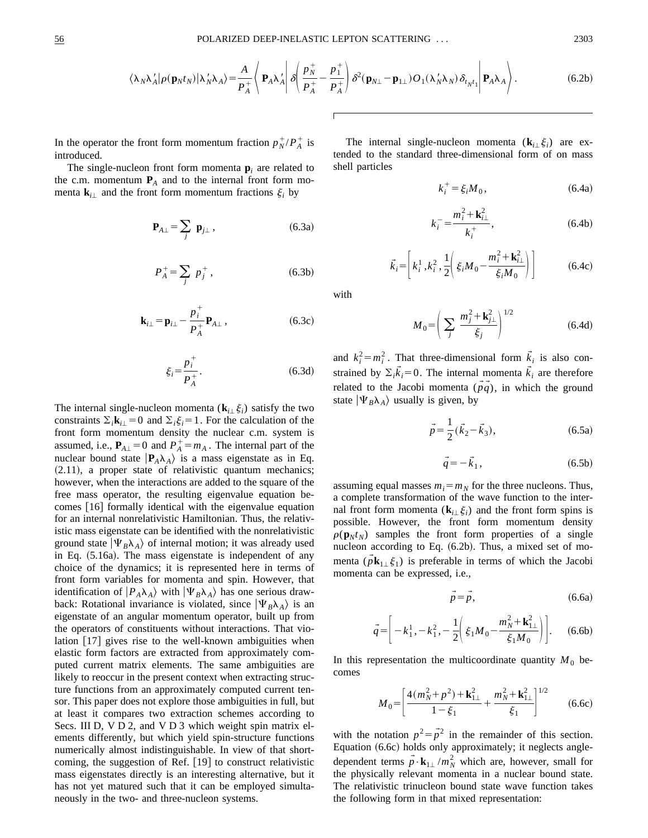$$
\langle \lambda_N \lambda'_A | \rho(\mathbf{p}_N t_N) | \lambda'_N \lambda_A \rangle = \frac{A}{P_A^+} \left\langle \mathbf{P}_A \lambda'_A \right| \delta \left( \frac{p_N^+}{P_A^+} - \frac{p_1^+}{P_A^+} \right) \delta^2 (\mathbf{p}_{N\perp} - \mathbf{p}_{1\perp}) O_1(\lambda'_N \lambda_N) \delta_{t_N t_1} \Bigg| \mathbf{P}_A \lambda_A \right). \tag{6.2b}
$$

In the operator the front form momentum fraction  $p_N^+/P_A^+$  is introduced.

The single-nucleon front form momenta  $\mathbf{p}_i$  are related to the c.m. momentum  $P_A$  and to the internal front form momenta  $\mathbf{k}_{i\perp}$  and the front form momentum fractions  $\xi_i$  by

$$
\mathbf{P}_{A\perp} = \sum_{j} \mathbf{p}_{j\perp} , \qquad (6.3a)
$$

$$
P_A^+ = \sum_j \ p_j^+, \tag{6.3b}
$$

$$
\mathbf{k}_{i\perp} = \mathbf{p}_{i\perp} - \frac{p_i^+}{P_A^+} \mathbf{P}_{A\perp} ,
$$
 (6.3c)

$$
\xi_i = \frac{p_i^+}{p_A^+}.\tag{6.3d}
$$

The internal single-nucleon momenta  $(\mathbf{k}_{i\perp}\xi_i)$  satisfy the two constraints  $\Sigma_i$ **k**<sub>*i*</sub> = 0 and  $\Sigma_i$  $\xi$ <sub>*i*</sub>=1. For the calculation of the front form momentum density the nuclear c.m. system is assumed, i.e.,  $P_{A\perp} = 0$  and  $P_A^+ = m_A$ . The internal part of the nuclear bound state  $|\mathbf{P}_A \lambda_A\rangle$  is a mass eigenstate as in Eq.  $(2.11)$ , a proper state of relativistic quantum mechanics; however, when the interactions are added to the square of the free mass operator, the resulting eigenvalue equation becomes  $[16]$  formally identical with the eigenvalue equation for an internal nonrelativistic Hamiltonian. Thus, the relativistic mass eigenstate can be identified with the nonrelativistic ground state  $|\Psi_B \lambda_A \rangle$  of internal motion; it was already used in Eq.  $(5.16a)$ . The mass eigenstate is independent of any choice of the dynamics; it is represented here in terms of front form variables for momenta and spin. However, that identification of  $|P_A \lambda_A \rangle$  with  $|\Psi_B \lambda_A \rangle$  has one serious drawback: Rotational invariance is violated, since  $|\Psi_B \lambda_A\rangle$  is an eigenstate of an angular momentum operator, built up from the operators of constituents without interactions. That violation  $[17]$  gives rise to the well-known ambiguities when elastic form factors are extracted from approximately computed current matrix elements. The same ambiguities are likely to reoccur in the present context when extracting structure functions from an approximately computed current tensor. This paper does not explore those ambiguities in full, but at least it compares two extraction schemes according to Secs. III D, V D 2, and V D 3 which weight spin matrix elements differently, but which yield spin-structure functions numerically almost indistinguishable. In view of that shortcoming, the suggestion of Ref.  $[19]$  to construct relativistic mass eigenstates directly is an interesting alternative, but it has not yet matured such that it can be employed simultaneously in the two- and three-nucleon systems.

The internal single-nucleon momenta  $(\mathbf{k}_i, \xi_i)$  are extended to the standard three-dimensional form of on mass shell particles

$$
k_i^+ = \xi_i M_0, \qquad (6.4a)
$$

$$
k_i^- = \frac{m_i^2 + \mathbf{k}_{i\perp}^2}{k_i^+},
$$
 (6.4b)

$$
\vec{k}_i = \left[ k_i^1, k_i^2, \frac{1}{2} \left( \xi_i M_0 - \frac{m_i^2 + \mathbf{k}_{i\perp}^2}{\xi_i M_0} \right) \right]
$$
(6.4c)

with

$$
M_0 = \left(\sum_j \frac{m_j^2 + k_{j\perp}^2}{\xi_j}\right)^{1/2}
$$
 (6.4d)

and  $k_i^2 = m_i^2$ . That three-dimensional form  $\vec{k}_i$  is also constrained by  $\Sigma_i \vec{k}_i = 0$ . The internal momenta  $\vec{k}_i$  are therefore related to the Jacobi momenta  $(\overline{pq})$ , in which the ground state  $|\Psi_B \lambda_A \rangle$  usually is given, by

$$
\vec{p} = \frac{1}{2} (\vec{k}_2 - \vec{k}_3),
$$
\n(6.5a)

$$
\vec{q} = -\vec{k}_1,\tag{6.5b}
$$

assuming equal masses  $m_i = m_N$  for the three nucleons. Thus, a complete transformation of the wave function to the internal front form momenta ( $\mathbf{k}_{i\perp} \xi_i$ ) and the front form spins is possible. However, the front form momentum density  $\rho(\mathbf{p}_N t_N)$  samples the front form properties of a single nucleon according to Eq.  $(6.2b)$ . Thus, a mixed set of momenta  $(p\mathbf{k}_{1\perp}\xi_1)$  is preferable in terms of which the Jacobi momenta can be expressed, i.e.,

$$
\vec{p} = \vec{p},\tag{6.6a}
$$

$$
\vec{q} = \left[ -k_1^1, -k_1^2, -\frac{1}{2} \left( \xi_1 M_0 - \frac{m_N^2 + \mathbf{k}_{1\perp}^2}{\xi_1 M_0} \right) \right].
$$
 (6.6b)

In this representation the multicoordinate quantity  $M_0$  becomes

$$
M_0 = \left[ \frac{4(m_N^2 + p^2) + \mathbf{k}_{1\perp}^2}{1 - \xi_1} + \frac{m_N^2 + \mathbf{k}_{1\perp}^2}{\xi_1} \right]^{1/2} \tag{6.6c}
$$

with the notation  $p^2 = \vec{p}^2$  in the remainder of this section. Equation  $(6.6c)$  holds only approximately; it neglects angledependent terms  $\vec{p} \cdot \mathbf{k}_{1\perp} / m_N^2$  which are, however, small for the physically relevant momenta in a nuclear bound state. The relativistic trinucleon bound state wave function takes the following form in that mixed representation: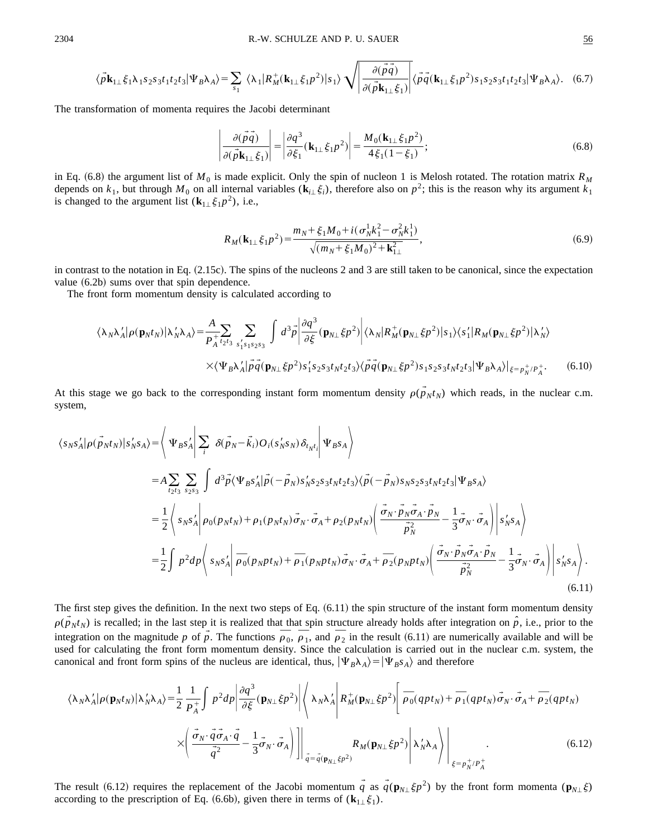$$
\langle \vec{p} \mathbf{k}_{1\perp} \xi_1 \lambda_1 s_2 s_3 t_1 t_2 t_3 | \Psi_B \lambda_A \rangle = \sum_{s_1} \langle \lambda_1 | R_M^+ (\mathbf{k}_{1\perp} \xi_1 p^2) | s_1 \rangle \sqrt{\left| \frac{\partial (\vec{p} \vec{q})}{\partial (\vec{p} \mathbf{k}_{1\perp} \xi_1)} \right|} \langle \vec{p} \vec{q} (\mathbf{k}_{1\perp} \xi_1 p^2) s_1 s_2 s_3 t_1 t_2 t_3 | \Psi_B \lambda_A \rangle. \tag{6.7}
$$

The transformation of momenta requires the Jacobi determinant

$$
\left| \frac{\partial (\vec{p} \vec{q})}{\partial (\vec{p} \mathbf{k}_{1\perp} \xi_1)} \right| = \left| \frac{\partial q^3}{\partial \xi_1} (\mathbf{k}_{1\perp} \xi_1 p^2) \right| = \frac{M_0(\mathbf{k}_{1\perp} \xi_1 p^2)}{4 \xi_1 (1 - \xi_1)};
$$
\n(6.8)

in Eq. (6.8) the argument list of  $M_0$  is made explicit. Only the spin of nucleon 1 is Melosh rotated. The rotation matrix  $R_M$ depends on  $k_1$ , but through  $M_0$  on all internal variables  $(\mathbf{k}_i \, \xi_i)$ , therefore also on  $p^2$ ; this is the reason why its argument  $k_1$ is changed to the argument list  $(\mathbf{k}_{1\perp} \xi_1 p^2)$ , i.e.,

$$
R_M(\mathbf{k}_{1\perp}\xi_1 p^2) = \frac{m_N + \xi_1 M_0 + i(\sigma_N^1 k_1^2 - \sigma_N^2 k_1^1)}{\sqrt{(m_N + \xi_1 M_0)^2 + \mathbf{k}_{1\perp}^2}},\tag{6.9}
$$

in contrast to the notation in Eq.  $(2.15c)$ . The spins of the nucleons 2 and 3 are still taken to be canonical, since the expectation value  $(6.2b)$  sums over that spin dependence.

The front form momentum density is calculated according to

$$
\langle \lambda_N \lambda'_A | \rho(\mathbf{p}_N t_N) | \lambda'_N \lambda_A \rangle = \frac{A}{P_A^+ t_2 t_3} \sum_{s'_1 s_1 s_2 s_3} \int d^3 \vec{p} \left| \frac{\partial q^3}{\partial \xi} (\mathbf{p}_{N\perp} \xi p^2) \right| \langle \lambda_N | R_M^+ (\mathbf{p}_{N\perp} \xi p^2) | s_1 \rangle \langle s'_1 | R_M (\mathbf{p}_{N\perp} \xi p^2) | \lambda'_N \rangle
$$
  
 
$$
\times \langle \Psi_B \lambda'_A | \vec{p} \vec{q} (\mathbf{p}_{N\perp} \xi p^2) s'_1 s_2 s_3 t_N t_2 t_3 \rangle \langle \vec{p} \vec{q} (\mathbf{p}_{N\perp} \xi p^2) s_1 s_2 s_3 t_N t_2 t_3 | \Psi_B \lambda_A \rangle |_{\xi = p_N^+ / P_A^+}.
$$
 (6.10)

At this stage we go back to the corresponding instant form momentum density  $\rho(\vec{p}_N t_N)$  which reads, in the nuclear c.m. system,

$$
\langle s_{N}s'_{A} | \rho(\vec{p}_{N}t_{N}) | s'_{N}s_{A} \rangle = \left\langle \Psi_{B}s'_{A} \middle| \sum_{i} \delta(\vec{p}_{N} - \vec{k}_{i}) O_{i}(s'_{N}s_{N}) \delta_{t_{N}t_{i}} \middle| \Psi_{B}s_{A} \right\rangle
$$
  
\n
$$
= A \sum_{t_{2}t_{3}} \sum_{s_{2}s_{3}} \int d^{3} \vec{p} \langle \Psi_{B}s'_{A} | \vec{p}(-\vec{p}_{N}) s'_{N}s_{2}s_{3}t_{N}t_{2}t_{3} \rangle \langle \vec{p}(-\vec{p}_{N}) s_{N}s_{2}s_{3}t_{N}t_{2}t_{3} | \Psi_{B}s_{A} \rangle
$$
  
\n
$$
= \frac{1}{2} \left\langle s_{N}s'_{A} \middle| \rho_{0}(p_{N}t_{N}) + \rho_{1}(p_{N}t_{N}) \vec{\sigma}_{N} \cdot \vec{\sigma}_{A} + \rho_{2}(p_{N}t_{N}) \left( \frac{\vec{\sigma}_{N} \cdot \vec{p}_{N} \vec{\sigma}_{A} \cdot \vec{p}_{N}}{\vec{\rho}_{N}^{2}} - \frac{1}{3} \vec{\sigma}_{N} \cdot \vec{\sigma}_{A} \right) \middle| s'_{N}s_{A} \right\rangle
$$
  
\n
$$
= \frac{1}{2} \int p^{2} dp \left\langle s_{N}s'_{A} \middle| \vec{p}_{0}(p_{N}pt_{N}) + \vec{p}_{1}(p_{N}pt_{N}) \vec{\sigma}_{N} \cdot \vec{\sigma}_{A} + \vec{p}_{2}(p_{N}pt_{N}) \left( \frac{\vec{\sigma}_{N} \cdot \vec{p}_{N} \vec{\sigma}_{A} \cdot \vec{p}_{N}}{\vec{p}_{N}^{2}} - \frac{1}{3} \vec{\sigma}_{N} \cdot \vec{\sigma}_{A} \right) \middle| s'_{N}s_{A} \right\rangle.
$$
  
\n(6.11)

The first step gives the definition. In the next two steps of Eq.  $(6.11)$  the spin structure of the instant form momentum density  $\rho(\vec{p}_{N}t_N)$  is recalled; in the last step it is realized that that spin structure already holds after integration on  $\hat{p}$ , i.e., prior to the  $\rho(p_N t_N)$  is recalled; in the last step it is realized that that spin structure already holds after integration on p, i.e., prior to the integration on the magnitude p of  $\vec{p}$ . The functions  $\vec{p}_0$ ,  $\vec{p}_1$ , and  $\vec$ used for calculating the front form momentum density. Since the calculation is carried out in the nuclear c.m. system, the canonical and front form spins of the nucleus are identical, thus,  $|\Psi_B \lambda_A\rangle = |\Psi_B s_A\rangle$  and therefore

$$
\langle \lambda_N \lambda'_A | \rho(\mathbf{p}_N t_N) | \lambda'_N \lambda_A \rangle = \frac{1}{2} \frac{1}{P_A^+} \int p^2 dp \left| \frac{\partial q^3}{\partial \xi} (\mathbf{p}_{N\perp} \xi p^2) \right| \left\langle \lambda_N \lambda'_A \right| R_M^+(\mathbf{p}_{N\perp} \xi p^2) \left| \rho_0(q p t_N) + \overline{\rho}_1(q p t_N) \vec{\sigma}_N \cdot \vec{\sigma}_A + \overline{\rho}_2(q p t_N) \right|
$$
  
 
$$
\times \left( \frac{\vec{\sigma}_N \cdot \vec{q} \vec{\sigma}_A \cdot \vec{q}}{\vec{q}^2} - \frac{1}{3} \vec{\sigma}_N \cdot \vec{\sigma}_A \right) \Bigg| \Bigg|_{\vec{q} = \vec{q}(\mathbf{p}_{N\perp} \xi p^2)} R_M(\mathbf{p}_{N\perp} \xi p^2) \Bigg| \lambda'_N \lambda_A \Bigg\rangle \Bigg|_{\xi = p_N^+/P_A^+}.
$$
 (6.12)

The result (6.12) requires the replacement of the Jacobi momentum  $\vec{q}$  as  $\vec{q}(\mathbf{p}_{N\perp}\xi p^2)$  by the front form momenta ( $\mathbf{p}_{N\perp}\xi$ ) according to the prescription of Eq. (6.6b), given there in terms of  $(\mathbf{k}_{1\perp}\xi_1)$ .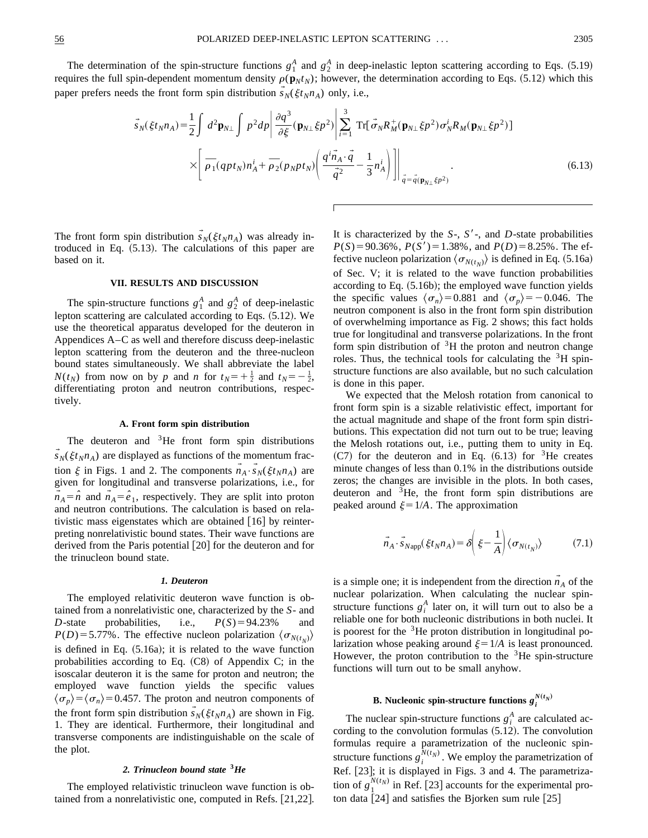The determination of the spin-structure functions  $g_1^A$  and  $g_2^A$  in deep-inelastic lepton scattering according to Eqs. (5.19) requires the full spin-dependent momentum density  $\rho(\mathbf{p}_N t_N)$ ; however, the determination according to Eqs. (5.12) which this paper prefers needs the front form spin distribution  $\vec{s}_N(\xi t_N n_A)$  only, i.e.,

$$
\vec{s}_{N}(\xi t_{N}n_{A}) = \frac{1}{2} \int d^{2} \mathbf{p}_{N\perp} \int p^{2} dp \left| \frac{\partial q^{3}}{\partial \xi} (\mathbf{p}_{N\perp} \xi p^{2}) \right| \sum_{i=1}^{3} \text{Tr}[\vec{\sigma}_{N} R_{M}^{+} (\mathbf{p}_{N\perp} \xi p^{2}) \sigma_{N}^{i} R_{M} (\mathbf{p}_{N\perp} \xi p^{2})] \times \left[ \overline{\rho}_{1} (q p t_{N}) n_{A}^{i} + \overline{\rho}_{2} (p_{N} p t_{N}) \left( \frac{q^{i} \vec{n}_{A} \cdot \vec{q}}{\vec{q}^{2}} - \frac{1}{3} n_{A}^{i} \right) \right] \Big|_{\vec{q} = \vec{q} (\mathbf{p}_{N\perp} \xi p^{2})} . \tag{6.13}
$$

The front form spin distribution  $\vec{s}_N(\xi t_N n_A)$  was already introduced in Eq.  $(5.13)$ . The calculations of this paper are based on it.

# **VII. RESULTS AND DISCUSSION**

The spin-structure functions  $g_1^A$  and  $g_2^A$  of deep-inelastic lepton scattering are calculated according to Eqs. (5.12). We use the theoretical apparatus developed for the deuteron in Appendices A–C as well and therefore discuss deep-inelastic lepton scattering from the deuteron and the three-nucleon bound states simultaneously. We shall abbreviate the label  $N(t_N)$  from now on by *p* and *n* for  $t_N = +\frac{1}{2}$  and  $t_N = -\frac{1}{2}$ , differentiating proton and neutron contributions, respectively.

# **A. Front form spin distribution**

The deuteron and  ${}^{3}$ He front form spin distributions  $\vec{s}_N(\xi t_N n_A)$  are displayed as functions of the momentum fraction  $\xi$  in Figs. 1 and 2. The components  $\vec{n}_A \cdot \vec{s}_N(\xi t_N n_A)$  are given for longitudinal and transverse polarizations, i.e., for  $\vec{n}_A = \hat{n}$  and  $\vec{n}_A = \hat{e}_1$ , respectively. They are split into proton and neutron contributions. The calculation is based on relativistic mass eigenstates which are obtained  $\lceil 16 \rceil$  by reinterpreting nonrelativistic bound states. Their wave functions are derived from the Paris potential  $[20]$  for the deuteron and for the trinucleon bound state.

#### *1. Deuteron*

The employed relativitic deuteron wave function is obtained from a nonrelativistic one, characterized by the *S*- and *D*-state probabilities, i.e.,  $P(S) = 94.23\%$  and  $P(D) = 5.77\%$ . The effective nucleon polarization  $\langle \sigma_{N(t_N)} \rangle$ is defined in Eq.  $(5.16a)$ ; it is related to the wave function probabilities according to Eq.  $(C8)$  of Appendix C; in the isoscalar deuteron it is the same for proton and neutron; the employed wave function yields the specific values  $\langle \sigma_p \rangle = \langle \sigma_n \rangle = 0.457$ . The proton and neutron components of the front form spin distribution  $\vec{s}_N(\xi t_N n_A)$  are shown in Fig. 1. They are identical. Furthermore, their longitudinal and transverse components are indistinguishable on the scale of the plot.

# *2. Trinucleon bound state* **<sup>3</sup>***He*

The employed relativistic trinucleon wave function is obtained from a nonrelativistic one, computed in Refs.  $[21,22]$ . It is characterized by the  $S<sub>-</sub>$ ,  $S'$ -, and *D*-state probabilities  $P(S) = 90.36\%$ ,  $P(S') = 1.38\%$ , and  $P(D) = 8.25\%$ . The effective nucleon polarization  $\langle \sigma_{N(t_N)} \rangle$  is defined in Eq. (5.16a) of Sec. V; it is related to the wave function probabilities according to Eq.  $(5.16b)$ ; the employed wave function yields the specific values  $\langle \sigma_n \rangle = 0.881$  and  $\langle \sigma_p \rangle = -0.046$ . The neutron component is also in the front form spin distribution of overwhelming importance as Fig. 2 shows; this fact holds true for longitudinal and transverse polarizations. In the front form spin distribution of  ${}^{3}H$  the proton and neutron change roles. Thus, the technical tools for calculating the  ${}^{3}$ H spinstructure functions are also available, but no such calculation is done in this paper.

We expected that the Melosh rotation from canonical to front form spin is a sizable relativistic effect, important for the actual magnitude and shape of the front form spin distributions. This expectation did not turn out to be true; leaving the Melosh rotations out, i.e., putting them to unity in Eq.  $(C7)$  for the deuteron and in Eq.  $(6.13)$  for <sup>3</sup>He creates minute changes of less than 0.1% in the distributions outside zeros; the changes are invisible in the plots. In both cases, deuteron and  ${}^{3}$ He, the front form spin distributions are peaked around  $\xi = 1/A$ . The approximation

$$
\vec{n}_A \cdot \vec{s}_{Napp}(\xi t_N n_A) = \delta \left( \xi - \frac{1}{A} \right) \langle \sigma_{N(t_N)} \rangle \tag{7.1}
$$

is a simple one; it is independent from the direction  $n_A$  of the nuclear polarization. When calculating the nuclear spinstructure functions  $g_i^A$  later on, it will turn out to also be a reliable one for both nucleonic distributions in both nuclei. It is poorest for the  ${}^{3}$ He proton distribution in longitudinal polarization whose peaking around  $\xi = 1/A$  is least pronounced. However, the proton contribution to the  ${}^{3}$ He spin-structure functions will turn out to be small anyhow.

# **B.** Nucleonic spin-structure functions  $g_i^{N(t_N)}$

The nuclear spin-structure functions  $g_i^A$  are calculated according to the convolution formulas  $(5.12)$ . The convolution formulas require a parametrization of the nucleonic spinstructure functions  $g_i^{N(t_N)}$ . We employ the parametrization of Ref. [23]; it is displayed in Figs. 3 and 4. The parametrization of  $g_1^{N(t_N)}$  in Ref. [23] accounts for the experimental proton data  $[24]$  and satisfies the Bjorken sum rule  $[25]$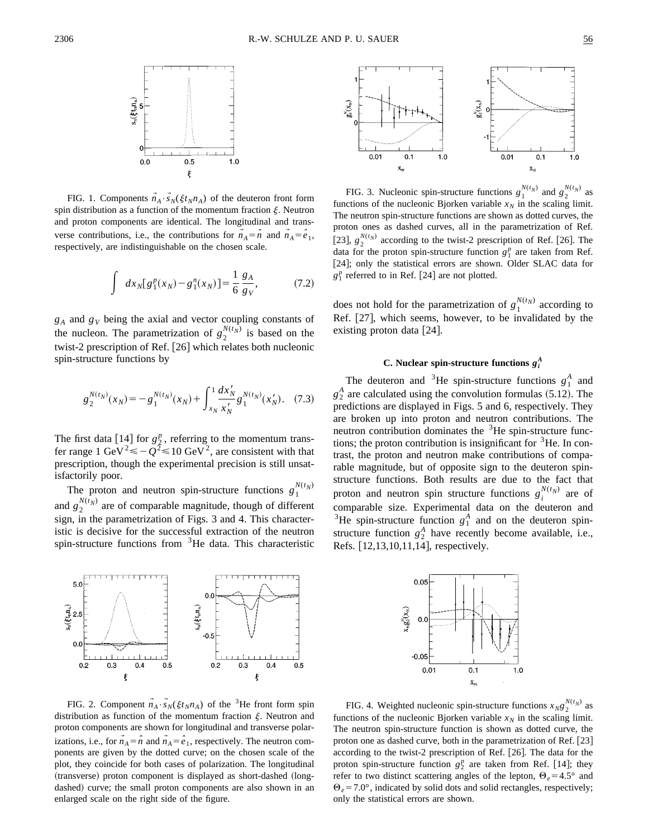

FIG. 1. Components  $\vec{n}_A \cdot \vec{s}_N(\xi t_N n_A)$  of the deuteron front form spin distribution as a function of the momentum fraction  $\xi$ . Neutron and proton components are identical. The longitudinal and transverse contributions, i.e., the contributions for  $\vec{n}_A = \hat{n}$  and  $\vec{n}_A = \hat{e}_1$ , respectively, are indistinguishable on the chosen scale.

$$
\int dx_N [g_1^p(x_N) - g_1^n(x_N)] = \frac{1}{6} \frac{g_A}{g_V},
$$
\n(7.2)

 $g_A$  and  $g_V$  being the axial and vector coupling constants of the nucleon. The parametrization of  $g_2^{N(t_N)}$  is based on the twist-2 prescription of Ref.  $[26]$  which relates both nucleonic spin-structure functions by

$$
g_2^{N(t_N)}(x_N) = -g_1^{N(t_N)}(x_N) + \int_{x_N}^1 \frac{dx'_N}{x'_N} g_1^{N(t_N)}(x'_N). \quad (7.3)
$$

The first data  $[14]$  for  $g_2^p$ , referring to the momentum transfer range 1 GeV<sup>2</sup> $\leq$  -  $Q^2$  $\leq$  10 GeV<sup>2</sup>, are consistent with that prescription, though the experimental precision is still unsatisfactorily poor.

The proton and neutron spin-structure functions  $g_1^{N(t_N)}$ and  $g_2^{N(t_N)}$  are of comparable magnitude, though of different sign, in the parametrization of Figs. 3 and 4. This characteristic is decisive for the successful extraction of the neutron spin-structure functions from  ${}^{3}$ He data. This characteristic



FIG. 2. Component  $\vec{n}_A \cdot \vec{s}_N(\xi t_N n_A)$  of the <sup>3</sup>He front form spin distribution as function of the momentum fraction  $\xi$ . Neutron and proton components are shown for longitudinal and transverse polarizations, i.e., for  $\vec{n}_A = \hat{n}$  and  $\vec{n}_A = \hat{e}_1$ , respectively. The neutron components are given by the dotted curve; on the chosen scale of the plot, they coincide for both cases of polarization. The longitudinal (transverse) proton component is displayed as short-dashed (longdashed) curve; the small proton components are also shown in an enlarged scale on the right side of the figure.



FIG. 3. Nucleonic spin-structure functions  $g_1^{N(t_N)}$  and  $g_2^{N(t_N)}$  as functions of the nucleonic Bjorken variable  $x_N$  in the scaling limit. The neutron spin-structure functions are shown as dotted curves, the proton ones as dashed curves, all in the parametrization of Ref. [23],  $g_2^{N(t_N)}$  according to the twist-2 prescription of Ref. [26]. The data for the proton spin-structure function  $g_1^p$  are taken from Ref. [24]; only the statistical errors are shown. Older SLAC data for  $g_1^p$  referred to in Ref. [24] are not plotted.

does not hold for the parametrization of  $g_1^{N(t_N)}$  according to Ref. [27], which seems, however, to be invalidated by the existing proton data  $[24]$ .

# **C.** Nuclear spin-structure functions  $g_i^A$

The deuteron and <sup>3</sup>He spin-structure functions  $g_1^A$  and  $g_2^A$  are calculated using the convolution formulas  $(5.12)$ . The predictions are displayed in Figs. 5 and 6, respectively. They are broken up into proton and neutron contributions. The neutron contribution dominates the  ${}^{3}$ He spin-structure functions; the proton contribution is insignificant for  ${}^{3}$ He. In contrast, the proton and neutron make contributions of comparable magnitude, but of opposite sign to the deuteron spinstructure functions. Both results are due to the fact that proton and neutron spin structure functions  $g_i^{N(t_N)}$  are of comparable size. Experimental data on the deuteron and <sup>3</sup>He spin-structure function  $g_1^A$  and on the deuteron spinstructure function  $g_2^A$  have recently become available, i.e., Refs. [12,13,10,11,14], respectively.



FIG. 4. Weighted nucleonic spin-structure functions  $x_N g_2^{N(t_N)}$  as functions of the nucleonic Bjorken variable  $x_N$  in the scaling limit. The neutron spin-structure function is shown as dotted curve, the proton one as dashed curve, both in the parametrization of Ref.  $[23]$ according to the twist-2 prescription of Ref. [26]. The data for the proton spin-structure function  $g_2^p$  are taken from Ref. [14]; they refer to two distinct scattering angles of the lepton,  $\Theta_e = 4.5^\circ$  and  $\Theta_e$  = 7.0°, indicated by solid dots and solid rectangles, respectively; only the statistical errors are shown.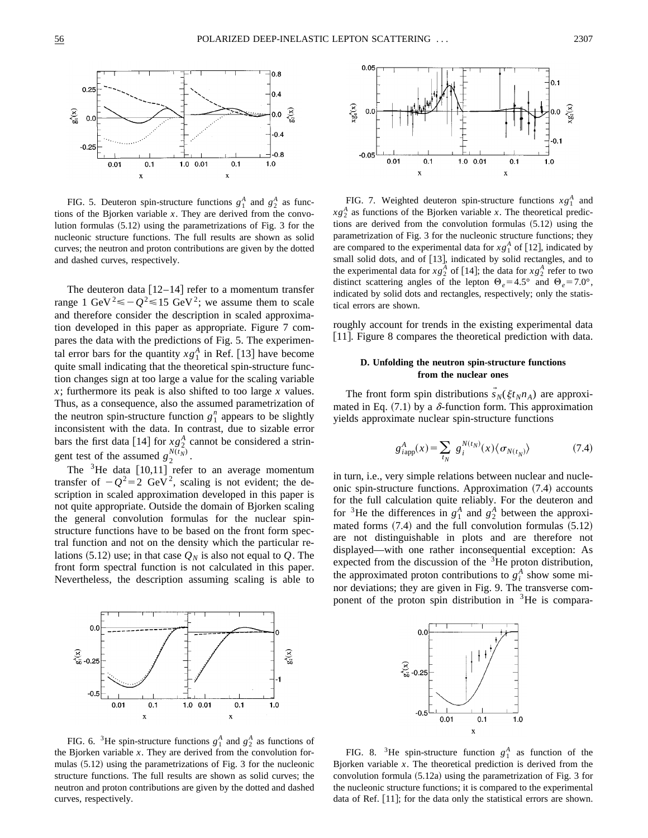

 $\mathbf x$ 

FIG. 5. Deuteron spin-structure functions  $g_1^A$  and  $g_2^A$  as functions of the Bjorken variable *x*. They are derived from the convolution formulas  $(5.12)$  using the parametrizations of Fig. 3 for the nucleonic structure functions. The full results are shown as solid curves; the neutron and proton contributions are given by the dotted and dashed curves, respectively.

 $\mathbf{x}$ 

The deuteron data  $[12-14]$  refer to a momentum transfer range 1 GeV<sup>2</sup> $\leq$  -  $Q^2$  $\leq$  15 GeV<sup>2</sup>; we assume them to scale and therefore consider the description in scaled approximation developed in this paper as appropriate. Figure 7 compares the data with the predictions of Fig. 5. The experimental error bars for the quantity  $xg_1^A$  in Ref. [13] have become quite small indicating that the theoretical spin-structure function changes sign at too large a value for the scaling variable *x*; furthermore its peak is also shifted to too large *x* values. Thus, as a consequence, also the assumed parametrization of the neutron spin-structure function  $g_1^n$  appears to be slightly inconsistent with the data. In contrast, due to sizable error bars the first data [14] for  $xg_2^A$  cannot be considered a stringent test of the assumed  $g_2^{N(t_N)}$ .

The  ${}^{3}$ He data [10,11] refer to an average momentum transfer of  $-Q^2=2$  GeV<sup>2</sup>, scaling is not evident; the description in scaled approximation developed in this paper is not quite appropriate. Outside the domain of Bjorken scaling the general convolution formulas for the nuclear spinstructure functions have to be based on the front form spectral function and not on the density which the particular relations  $(5.12)$  use; in that case  $Q_N$  is also not equal to  $Q$ . The front form spectral function is not calculated in this paper. Nevertheless, the description assuming scaling is able to



FIG. 6. <sup>3</sup>He spin-structure functions  $g_1^A$  and  $g_2^A$  as functions of the Bjorken variable  $x$ . They are derived from the convolution formulas  $(5.12)$  using the parametrizations of Fig. 3 for the nucleonic structure functions. The full results are shown as solid curves; the neutron and proton contributions are given by the dotted and dashed curves, respectively.



FIG. 7. Weighted deuteron spin-structure functions  $x g_1^A$  and  $xg_2^A$  as functions of the Bjorken variable *x*. The theoretical predictions are derived from the convolution formulas  $(5.12)$  using the parametrization of Fig. 3 for the nucleonic structure functions; they are compared to the experimental data for  $xg_1^A$  of [12], indicated by small solid dots, and of [13], indicated by solid rectangles, and to the experimental data for  $xg_2^A$  of [14]; the data for  $xg_2^A$  refer to two distinct scattering angles of the lepton  $\Theta_e = 4.5^\circ$  and  $\Theta_e = 7.0^\circ$ , indicated by solid dots and rectangles, respectively; only the statistical errors are shown.

roughly account for trends in the existing experimental data [11]. Figure 8 compares the theoretical prediction with data.

# **D. Unfolding the neutron spin-structure functions from the nuclear ones**

The front form spin distributions  $\vec{s}_N(\xi t_N n_A)$  are approximated in Eq. (7.1) by a  $\delta$ -function form. This approximation yields approximate nuclear spin-structure functions

$$
g_{i\text{app}}^A(x) = \sum_{t_N} g_i^{N(t_N)}(x) \langle \sigma_{N(t_N)} \rangle \tag{7.4}
$$

in turn, i.e., very simple relations between nuclear and nucleonic spin-structure functions. Approximation  $(7.4)$  accounts for the full calculation quite reliably. For the deuteron and for <sup>3</sup>He the differences in  $g_1^A$  and  $g_2^A$  between the approximated forms  $(7.4)$  and the full convolution formulas  $(5.12)$ are not distinguishable in plots and are therefore not displayed—with one rather inconsequential exception: As expected from the discussion of the  $3$ He proton distribution, the approximated proton contributions to  $g_i^A$  show some minor deviations; they are given in Fig. 9. The transverse component of the proton spin distribution in  ${}^{3}$ He is compara-



FIG. 8. <sup>3</sup>He spin-structure function  $g_1^A$  as function of the Bjorken variable *x*. The theoretical prediction is derived from the convolution formula  $(5.12a)$  using the parametrization of Fig. 3 for the nucleonic structure functions; it is compared to the experimental data of Ref.  $[11]$ ; for the data only the statistical errors are shown.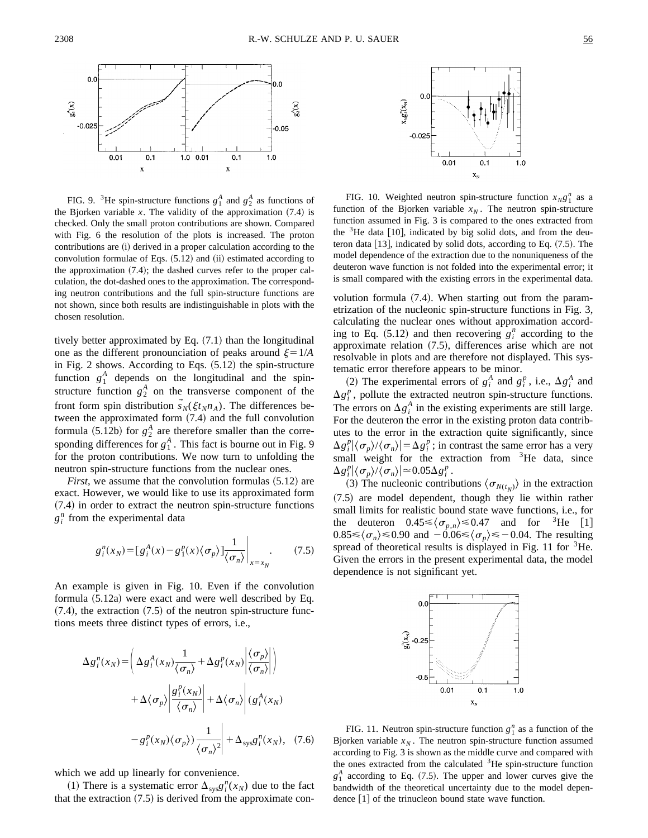

FIG. 9. <sup>3</sup>He spin-structure functions  $g_1^A$  and  $g_2^A$  as functions of the Bjorken variable  $x$ . The validity of the approximation  $(7.4)$  is checked. Only the small proton contributions are shown. Compared with Fig. 6 the resolution of the plots is increased. The proton contributions are (i) derived in a proper calculation according to the convolution formulae of Eqs.  $(5.12)$  and  $(ii)$  estimated according to the approximation  $(7.4)$ ; the dashed curves refer to the proper calculation, the dot-dashed ones to the approximation. The corresponding neutron contributions and the full spin-structure functions are not shown, since both results are indistinguishable in plots with the chosen resolution.

tively better approximated by Eq.  $(7.1)$  than the longitudinal one as the different pronounciation of peaks around  $\xi = 1/A$ in Fig. 2 shows. According to Eqs.  $(5.12)$  the spin-structure function  $g_1^A$  depends on the longitudinal and the spinstructure function  $g_2^A$  on the transverse component of the front form spin distribution  $\vec{s}_N(\xi t_N n_A)$ . The differences between the approximated form  $(7.4)$  and the full convolution formula (5.12b) for  $g_2^A$  are therefore smaller than the corresponding differences for  $g_1^A$ . This fact is bourne out in Fig. 9 for the proton contributions. We now turn to unfolding the neutron spin-structure functions from the nuclear ones.

*First*, we assume that the convolution formulas  $(5.12)$  are exact. However, we would like to use its approximated form  $(7.4)$  in order to extract the neutron spin-structure functions  $g_i^n$  from the experimental data

$$
g_i^n(x_N) = [g_i^A(x) - g_1^p(x)\langle \sigma_p \rangle] \frac{1}{\langle \sigma_n \rangle} \Big|_{x = x_N}.
$$
 (7.5)

An example is given in Fig. 10. Even if the convolution formula  $(5.12a)$  were exact and were well described by Eq.  $(7.4)$ , the extraction  $(7.5)$  of the neutron spin-structure functions meets three distinct types of errors, i.e.,

$$
\Delta g_i^n(x_N) = \left( \Delta g_i^A(x_N) \frac{1}{\langle \sigma_n \rangle} + \Delta g_i^p(x_N) \left| \frac{\langle \sigma_p \rangle}{\langle \sigma_n \rangle} \right| \right) \n+ \Delta \langle \sigma_p \rangle \left| \frac{g_i^p(x_N)}{\langle \sigma_n \rangle} \right| + \Delta \langle \sigma_n \rangle \left| \frac{\langle g_i^A(x_N) \rangle}{\langle g_i^A(x_N) \rangle} \right| \n- g_i^p(x_N) \langle \sigma_p \rangle \frac{1}{\langle \sigma_n \rangle^2} + \Delta_{\text{sys}} g_i^n(x_N), \quad (7.6)
$$

which we add up linearly for convenience.

(1) There is a systematic error  $\Delta_{sys} g_i^n(x_N)$  due to the fact that the extraction  $(7.5)$  is derived from the approximate con-



FIG. 10. Weighted neutron spin-structure function  $x_N g_1^n$  as a function of the Bjorken variable  $x_N$ . The neutron spin-structure function assumed in Fig. 3 is compared to the ones extracted from the  $3$ He data [10], indicated by big solid dots, and from the deuteron data  $[13]$ , indicated by solid dots, according to Eq.  $(7.5)$ . The model dependence of the extraction due to the nonuniqueness of the deuteron wave function is not folded into the experimental error; it is small compared with the existing errors in the experimental data.

volution formula  $(7.4)$ . When starting out from the parametrization of the nucleonic spin-structure functions in Fig. 3, calculating the nuclear ones without approximation according to Eq.  $(5.12)$  and then recovering  $g_i^n$  according to the approximate relation  $(7.5)$ , differences arise which are not resolvable in plots and are therefore not displayed. This systematic error therefore appears to be minor.

(2) The experimental errors of  $g_i^A$  and  $g_i^p$ , i.e.,  $\Delta g_i^A$  and  $\Delta g_i^p$ , pollute the extracted neutron spin-structure functions. The errors on  $\Delta g_i^A$  in the existing experiments are still large. For the deuteron the error in the existing proton data contributes to the error in the extraction quite significantly, since  $\Delta g_i^p | \langle \sigma_p \rangle / \langle \sigma_n \rangle | = \Delta g_i^p$ ; in contrast the same error has a very small weight for the extraction from  $3$ He data, since  $\Delta g_i^p | \langle \sigma_p \rangle / \langle \sigma_n \rangle | \approx 0.05 \Delta g_i^p$ .

(3) The nucleonic contributions  $\langle \sigma_{N(t_N)} \rangle$  in the extraction  $(7.5)$  are model dependent, though they lie within rather small limits for realistic bound state wave functions, i.e., for the deuteron  $0.45 \leq \langle \sigma_{p,n} \rangle \leq 0.47$  and for <sup>3</sup>He [1]  $0.85 \leq \langle \sigma_n \rangle \leq 0.90$  and  $-0.06 \leq \langle \sigma_p \rangle \leq -0.04$ . The resulting spread of theoretical results is displayed in Fig. 11 for  $3$ He. Given the errors in the present experimental data, the model dependence is not significant yet.



FIG. 11. Neutron spin-structure function  $g_1^n$  as a function of the Bjorken variable  $x_N$ . The neutron spin-structure function assumed according to Fig. 3 is shown as the middle curve and compared with the ones extracted from the calculated  $3$ He spin-structure function  $g_1^A$  according to Eq. (7.5). The upper and lower curves give the bandwidth of the theoretical uncertainty due to the model dependence  $\lceil 1 \rceil$  of the trinucleon bound state wave function.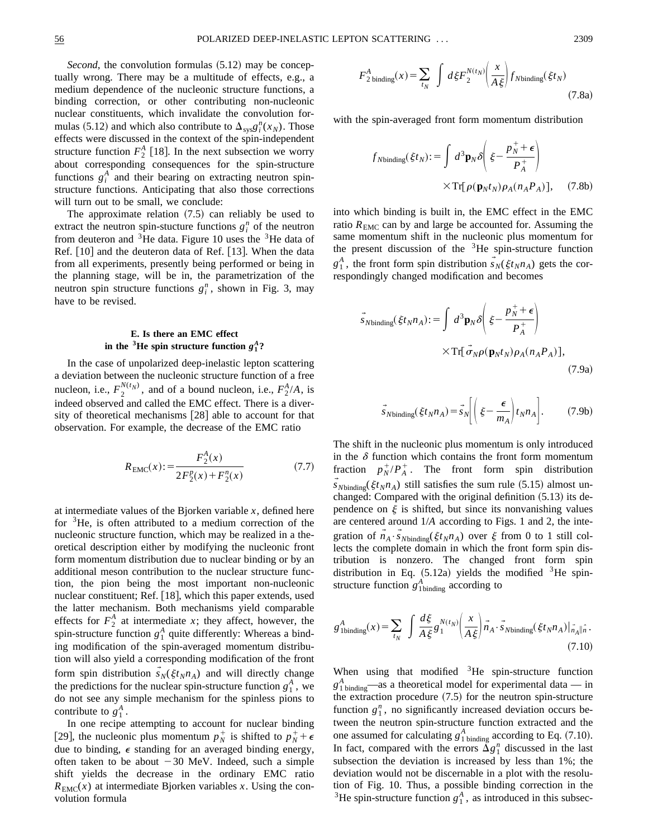*Second*, the convolution formulas  $(5.12)$  may be conceptually wrong. There may be a multitude of effects, e.g., a medium dependence of the nucleonic structure functions, a binding correction, or other contributing non-nucleonic nuclear constituents, which invalidate the convolution formulas (5.12) and which also contribute to  $\Delta_{\text{sys}} g_i^n(x_N)$ . Those effects were discussed in the context of the spin-independent structure function  $F_2^A$  [18]. In the next subsection we worry about corresponding consequences for the spin-structure functions  $g_i^A$  and their bearing on extracting neutron spinstructure functions. Anticipating that also those corrections will turn out to be small, we conclude:

The approximate relation  $(7.5)$  can reliably be used to extract the neutron spin-stucture functions  $g_i^n$  of the neutron from deuteron and  ${}^{3}$ He data. Figure 10 uses the  ${}^{3}$ He data of Ref.  $[10]$  and the deuteron data of Ref.  $[13]$ . When the data from all experiments, presently being performed or being in the planning stage, will be in, the parametrization of the neutron spin structure functions  $g_i^n$ , shown in Fig. 3, may have to be revised.

# **E. Is there an EMC effect** in the  ${}^{3}{\rm He}$  spin structure function  $g^{A}_{1}$ ?

In the case of unpolarized deep-inelastic lepton scattering a deviation between the nucleonic structure function of a free nucleon, i.e.,  $F_2^{N(t_N)}$ , and of a bound nucleon, i.e.,  $F_2^A/A$ , is indeed observed and called the EMC effect. There is a diversity of theoretical mechanisms  $[28]$  able to account for that observation. For example, the decrease of the EMC ratio

$$
R_{\text{EMC}}(x) := \frac{F_2^A(x)}{2F_2^p(x) + F_2^n(x)}\tag{7.7}
$$

at intermediate values of the Bjorken variable  $x$ , defined here for  ${}^{3}$ He, is often attributed to a medium correction of the nucleonic structure function, which may be realized in a theoretical description either by modifying the nucleonic front form momentum distribution due to nuclear binding or by an additional meson contribution to the nuclear structure function, the pion being the most important non-nucleonic nuclear constituent; Ref.  $[18]$ , which this paper extends, used the latter mechanism. Both mechanisms yield comparable effects for  $F_2^A$  at intermediate *x*; they affect, however, the spin-structure function  $g_1^A$  quite differently: Whereas a binding modification of the spin-averaged momentum distribution will also yield a corresponding modification of the front form spin distribution  $\vec{s}_N(\xi t_N n_A)$  and will directly change the predictions for the nuclear spin-structure function  $g_1^A$ , we do not see any simple mechanism for the spinless pions to contribute to  $g_1^A$ .

In one recipe attempting to account for nuclear binding [29], the nucleonic plus momentum  $p_N^+$  is shifted to  $p_N^+$  +  $\epsilon$ due to binding,  $\epsilon$  standing for an averaged binding energy, often taken to be about  $-30$  MeV. Indeed, such a simple shift yields the decrease in the ordinary EMC ratio  $R_{\text{EMC}}(x)$  at intermediate Bjorken variables *x*. Using the convolution formula

$$
F_{2\text{ binding}}^{A}(x) = \sum_{t_N} \int d\xi F_2^{N(t_N)} \left(\frac{x}{A\xi}\right) f_{N\text{binding}}(\xi t_N) \tag{7.8a}
$$

with the spin-averaged front form momentum distribution

$$
f_{\text{Nbinding}}(\xi t_N) := \int d^3 \mathbf{p}_N \delta \left( \xi - \frac{p_N^+ + \epsilon}{P_A^+} \right)
$$

$$
\times \text{Tr}[\rho(\mathbf{p}_N t_N) \rho_A(n_A P_A)], \quad (7.8b)
$$

into which binding is built in, the EMC effect in the EMC ratio  $R_{\text{EMC}}$  can by and large be accounted for. Assuming the same momentum shift in the nucleonic plus momentum for the present discussion of the  ${}^{3}$ He spin-structure function  $g_1^A$ , the front form spin distribution  $\vec{s}_N(\xi t_N n_A)$  gets the cor- $\rightarrow$ respondingly changed modification and becomes

$$
\vec{s}_{N \text{binding}}(\xi t_N n_A) := \int d^3 \mathbf{p}_N \delta \left( \xi - \frac{p_N^+ + \epsilon}{P_A^+} \right)
$$

$$
\times \text{Tr}[\vec{\sigma}_N \rho(\mathbf{p}_N t_N) \rho_A(n_A P_A)], \tag{7.9a}
$$

$$
\vec{s}_{N \text{binding}}(\xi t_N n_A) = \vec{s}_N \left[ \left( \xi - \frac{\epsilon}{m_A} \right) t_N n_A \right].
$$
 (7.9b)

The shift in the nucleonic plus momentum is only introduced in the  $\delta$  function which contains the front form momentum fraction  $p_N^+/P_A^+$ . The front form spin distribution  $\vec{s}_{\text{Nbinding}}(\xi t_N n_A)$  still satisfies the sum rule (5.15) almost unchanged: Compared with the original definition  $(5.13)$  its dependence on  $\xi$  is shifted, but since its nonvanishing values are centered around 1/*A* according to Figs. 1 and 2, the integration of  $\vec{n}_A \cdot \vec{s}_{N \text{binding}}(\xi t_N n_A)$  over  $\xi$  from 0 to 1 still collects the complete domain in which the front form spin distribution is nonzero. The changed front form spin distribution in Eq.  $(5.12a)$  yields the modified <sup>3</sup>He spinstructure function  $g_{1\text{binding}}^A$  according to

$$
g_{1\text{binding}}^{A}(x) = \sum_{t_N} \int \frac{d\xi}{A \xi} g_1^{N(t_N)} \left(\frac{x}{A \xi}\right) \vec{n}_A \cdot \vec{s}_{N\text{binding}} (\xi t_N n_A) \big|_{\vec{n}_A \parallel \hat{n}} \,. \tag{7.10}
$$

When using that modified  ${}^{3}$ He spin-structure function  $g_{1 \text{ binding}}^{A}$ —as a theoretical model for experimental data — in the extraction procedure  $(7.5)$  for the neutron spin-structure function  $g_1^n$ , no significantly increased deviation occurs between the neutron spin-structure function extracted and the one assumed for calculating  $g_{1 \text{ binding}}^{A}$  according to Eq. (7.10). In fact, compared with the errors  $\Delta g_1^n$  discussed in the last subsection the deviation is increased by less than 1%; the deviation would not be discernable in a plot with the resolution of Fig. 10. Thus, a possible binding correction in the <sup>3</sup>He spin-structure function  $g_1^A$ , as introduced in this subsec-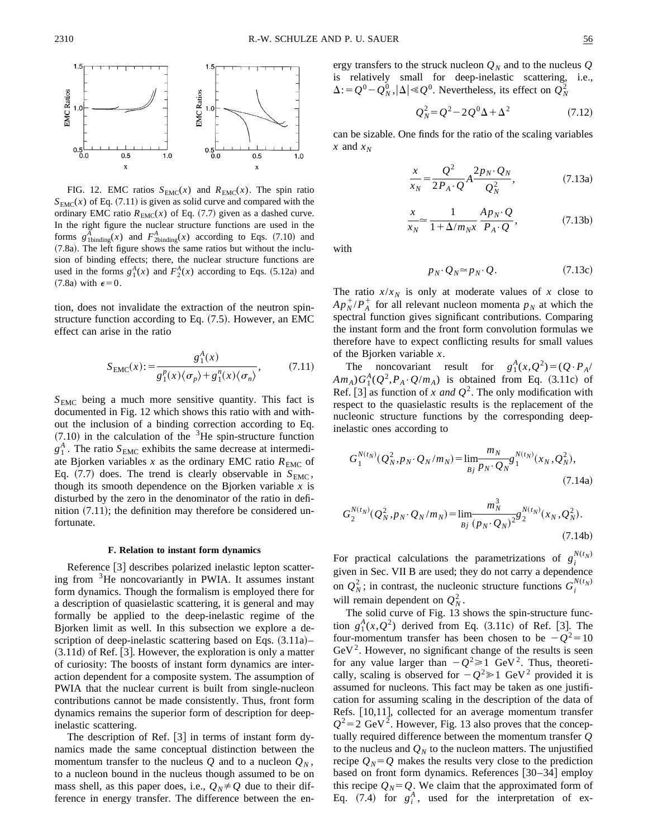

FIG. 12. EMC ratios  $S_{EMC}(x)$  and  $R_{EMC}(x)$ . The spin ratio  $S_{\text{EMC}}(x)$  of Eq. (7.11) is given as solid curve and compared with the ordinary EMC ratio  $R_{\text{EMC}}(x)$  of Eq. (7.7) given as a dashed curve. In the right figure the nuclear structure functions are used in the forms  $g_{1 \text{binding}}^{\overline{A}}(x)$  and  $F_{2 \text{binding}}^A(x)$  according to Eqs. (7.10) and  $(7.8a)$ . The left figure shows the same ratios but without the inclusion of binding effects; there, the nuclear structure functions are used in the forms  $g_1^A(x)$  and  $F_2^A(x)$  according to Eqs. (5.12a) and  $(7.8a)$  with  $\epsilon=0$ .

tion, does not invalidate the extraction of the neutron spinstructure function according to Eq.  $(7.5)$ . However, an EMC effect can arise in the ratio

$$
S_{\text{EMC}}(x) := \frac{g_1^A(x)}{g_1^p(x)\langle \sigma_p \rangle + g_1^p(x)\langle \sigma_n \rangle},
$$
 (7.11)

*S*EMC being a much more sensitive quantity. This fact is documented in Fig. 12 which shows this ratio with and without the inclusion of a binding correction according to Eq.  $(7.10)$  in the calculation of the <sup>3</sup>He spin-structure function  $g_1^A$ . The ratio  $S_{\text{EMC}}$  exhibits the same decrease at intermediate Bjorken variables  $x$  as the ordinary EMC ratio  $R_{\text{EMC}}$  of Eq.  $(7.7)$  does. The trend is clearly observable in  $S_{EMC}$ , though its smooth dependence on the Bjorken variable  $x$  is disturbed by the zero in the denominator of the ratio in definition  $(7.11)$ ; the definition may therefore be considered unfortunate.

#### **F. Relation to instant form dynamics**

Reference [3] describes polarized inelastic lepton scattering from 3He noncovariantly in PWIA. It assumes instant form dynamics. Though the formalism is employed there for a description of quasielastic scattering, it is general and may formally be applied to the deep-inelastic regime of the Bjorken limit as well. In this subsection we explore a description of deep-inelastic scattering based on Eqs.  $(3.11a)$ –  $(3.11d)$  of Ref. [3]. However, the exploration is only a matter of curiosity: The boosts of instant form dynamics are interaction dependent for a composite system. The assumption of PWIA that the nuclear current is built from single-nucleon contributions cannot be made consistently. Thus, front form dynamics remains the superior form of description for deepinelastic scattering.

The description of Ref.  $\lceil 3 \rceil$  in terms of instant form dynamics made the same conceptual distinction between the momentum transfer to the nucleus  $Q$  and to a nucleon  $Q_N$ , to a nucleon bound in the nucleus though assumed to be on mass shell, as this paper does, i.e.,  $Q_N \neq Q$  due to their difference in energy transfer. The difference between the energy transfers to the struck nucleon  $Q_N$  and to the nucleus  $Q$ is relatively small for deep-inelastic scattering, i.e.,  $\Delta:=Q^0-Q_N^0, |\Delta|\!\leqslant\!Q^0.$  Nevertheless, its effect on  $Q_N^2$ 

$$
Q_N^2 = Q^2 - 2Q^0\Delta + \Delta^2 \tag{7.12}
$$

can be sizable. One finds for the ratio of the scaling variables  $x$  and  $x_N$ 

$$
\frac{x}{x_N} = \frac{Q^2}{2P_A \cdot Q} A \frac{2p_N \cdot Q_N}{Q_N^2},\tag{7.13a}
$$

$$
\frac{x}{x_N} \simeq \frac{1}{1 + \Delta/m_N x} \frac{A p_N \cdot Q}{P_A \cdot Q},\tag{7.13b}
$$

with

$$
p_N \cdot Q_N \approx p_N \cdot Q. \tag{7.13c}
$$

The ratio  $x/x_N$  is only at moderate values of *x* close to  $Ap_N^+/P_A^+$  for all relevant nucleon momenta  $p_N$  at which the spectral function gives significant contributions. Comparing the instant form and the front form convolution formulas we therefore have to expect conflicting results for small values of the Bjorken variable *x*.

The noncovariant result for  $g_1^A(x, Q^2) = (Q \cdot P_A)$  $Am_A)G_1^A(Q^2, P_A \cdot Q/m_A)$  is obtained from Eq. (3.11c) of Ref. [3] as function of *x and Q*<sup>2</sup>. The only modification with respect to the quasielastic results is the replacement of the nucleonic structure functions by the corresponding deepinelastic ones according to

$$
G_1^{N(t_N)}(Q_N^2, p_N \cdot Q_N/m_N) = \lim_{B_j \to 0^+} \frac{m_N}{p_N \cdot Q_N} g_1^{N(t_N)}(x_N, Q_N^2),
$$
\n(7.14a)

$$
G_2^{N(t_N)}(Q_N^2, p_N \cdot Q_N/m_N) = \lim_{B_j \ (p_N \cdot Q_N)^2} g_2^{N(t_N)}(x_N, Q_N^2).
$$
\n(7.14b)

For practical calculations the parametrizations of  $g_i^{N(t_N)}$ given in Sec. VII B are used; they do not carry a dependence on  $Q_N^2$ ; in contrast, the nucleonic structure functions  $G_i^{N(t_N)}$ will remain dependent on  $Q_N^2$ .

The solid curve of Fig. 13 shows the spin-structure function  $g_1^A(x, Q^2)$  derived from Eq. (3.11c) of Ref. [3]. The four-momentum transfer has been chosen to be  $-Q^2=10$  $GeV<sup>2</sup>$ . However, no significant change of the results is seen for any value larger than  $-Q^2 \ge 1$  GeV<sup>2</sup>. Thus, theoretically, scaling is observed for  $-Q^2 \ge 1$  GeV<sup>2</sup> provided it is assumed for nucleons. This fact may be taken as one justification for assuming scaling in the description of the data of Refs.  $[10,11]$ , collected for an average momentum transfer  $Q^2$ =2 GeV<sup>2</sup>. However, Fig. 13 also proves that the conceptually required difference between the momentum transfer *Q* to the nucleus and  $Q_N$  to the nucleon matters. The unjustified recipe  $Q_N = Q$  makes the results very close to the prediction based on front form dynamics. References  $[30-34]$  employ this recipe  $Q_N = Q$ . We claim that the approximated form of Eq.  $(7.4)$  for  $g_i^A$ , used for the interpretation of ex-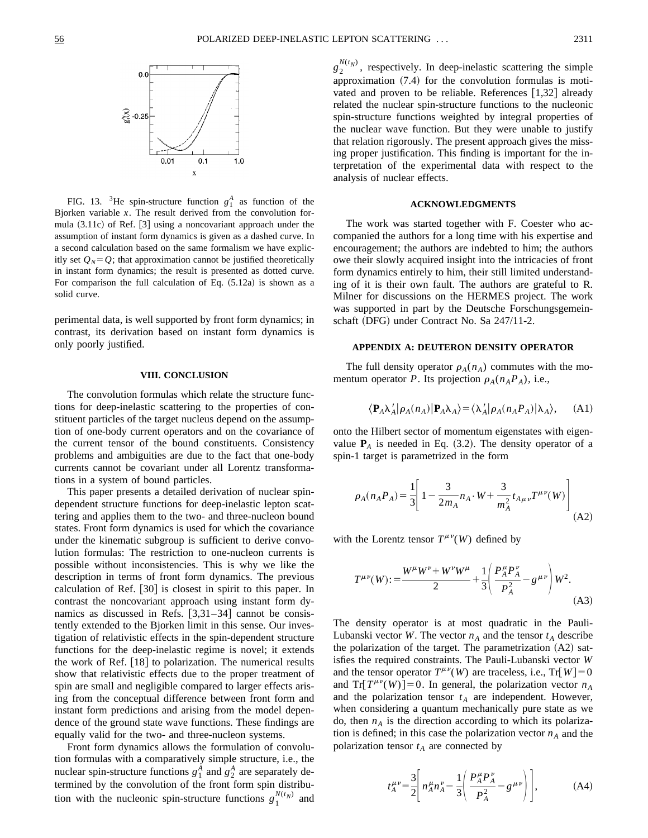

FIG. 13. <sup>3</sup>He spin-structure function  $g_1^A$  as function of the Bjorken variable  $x$ . The result derived from the convolution formula  $(3.11c)$  of Ref.  $[3]$  using a noncovariant approach under the assumption of instant form dynamics is given as a dashed curve. In a second calculation based on the same formalism we have explicitly set  $Q_N = Q$ ; that approximation cannot be justified theoretically in instant form dynamics; the result is presented as dotted curve. For comparison the full calculation of Eq.  $(5.12a)$  is shown as a solid curve.

perimental data, is well supported by front form dynamics; in contrast, its derivation based on instant form dynamics is only poorly justified.

# **VIII. CONCLUSION**

The convolution formulas which relate the structure functions for deep-inelastic scattering to the properties of constituent particles of the target nucleus depend on the assumption of one-body current operators and on the covariance of the current tensor of the bound constituents. Consistency problems and ambiguities are due to the fact that one-body currents cannot be covariant under all Lorentz transformations in a system of bound particles.

This paper presents a detailed derivation of nuclear spindependent structure functions for deep-inelastic lepton scattering and applies them to the two- and three-nucleon bound states. Front form dynamics is used for which the covariance under the kinematic subgroup is sufficient to derive convolution formulas: The restriction to one-nucleon currents is possible without inconsistencies. This is why we like the description in terms of front form dynamics. The previous calculation of Ref.  $[30]$  is closest in spirit to this paper. In contrast the noncovariant approach using instant form dynamics as discussed in Refs.  $[3,31-34]$  cannot be consistently extended to the Bjorken limit in this sense. Our investigation of relativistic effects in the spin-dependent structure functions for the deep-inelastic regime is novel; it extends the work of Ref.  $[18]$  to polarization. The numerical results show that relativistic effects due to the proper treatment of spin are small and negligible compared to larger effects arising from the conceptual difference between front form and instant form predictions and arising from the model dependence of the ground state wave functions. These findings are equally valid for the two- and three-nucleon systems.

Front form dynamics allows the formulation of convolution formulas with a comparatively simple structure, i.e., the nuclear spin-structure functions  $g_1^{\hat{A}}$  and  $g_2^{\hat{A}}$  are separately determined by the convolution of the front form spin distribution with the nucleonic spin-structure functions  $g_1^{N(t_N)}$  and

 $g_2^{N(t_N)}$ , respectively. In deep-inelastic scattering the simple approximation  $(7.4)$  for the convolution formulas is motivated and proven to be reliable. References  $[1,32]$  already related the nuclear spin-structure functions to the nucleonic spin-structure functions weighted by integral properties of the nuclear wave function. But they were unable to justify that relation rigorously. The present approach gives the missing proper justification. This finding is important for the interpretation of the experimental data with respect to the analysis of nuclear effects.

# **ACKNOWLEDGMENTS**

The work was started together with F. Coester who accompanied the authors for a long time with his expertise and encouragement; the authors are indebted to him; the authors owe their slowly acquired insight into the intricacies of front form dynamics entirely to him, their still limited understanding of it is their own fault. The authors are grateful to R. Milner for discussions on the HERMES project. The work was supported in part by the Deutsche Forschungsgemeinschaft (DFG) under Contract No. Sa 247/11-2.

# **APPENDIX A: DEUTERON DENSITY OPERATOR**

The full density operator  $\rho_A(n_A)$  commutes with the momentum operator *P*. Its projection  $\rho_A(n_A P_A)$ , i.e.,

$$
\langle \mathbf{P}_A \lambda'_A | \rho_A(n_A) | \mathbf{P}_A \lambda_A \rangle = \langle \lambda'_A | \rho_A(n_A P_A) | \lambda_A \rangle, \quad \text{(A1)}
$$

onto the Hilbert sector of momentum eigenstates with eigenvalue  $P_A$  is needed in Eq. (3.2). The density operator of a spin-1 target is parametrized in the form

$$
\rho_A(n_A P_A) = \frac{1}{3} \left[ 1 - \frac{3}{2m_A} n_A \cdot W + \frac{3}{m_A^2} t_{A\mu\nu} T^{\mu\nu}(W) \right]
$$
(A2)

with the Lorentz tensor  $T^{\mu\nu}(W)$  defined by

$$
T^{\mu\nu}(W) := \frac{W^{\mu}W^{\nu} + W^{\nu}W^{\mu}}{2} + \frac{1}{3} \left( \frac{P_A^{\mu}P_A^{\nu}}{P_A^2} - g^{\mu\nu} \right) W^2.
$$
\n(A3)

The density operator is at most quadratic in the Pauli-Lubanski vector *W*. The vector  $n_A$  and the tensor  $t_A$  describe the polarization of the target. The parametrization  $(A2)$  satisfies the required constraints. The Pauli-Lubanski vector *W* and the tensor operator  $T^{\mu\nu}(W)$  are traceless, i.e.,  $Tr[W] = 0$ and  $Tr[T^{\mu\nu}(W)] = 0$ . In general, the polarization vector  $n_A$ and the polarization tensor  $t_A$  are independent. However, when considering a quantum mechanically pure state as we do, then  $n_A$  is the direction according to which its polarization is defined; in this case the polarization vector  $n_A$  and the polarization tensor  $t_A$  are connected by

$$
t_A^{\mu\nu} = \frac{3}{2} \left[ n_A^{\mu} n_A^{\nu} - \frac{1}{3} \left( \frac{P_A^{\mu} P_A^{\nu}}{P_A^2} - g^{\mu\nu} \right) \right],
$$
 (A4)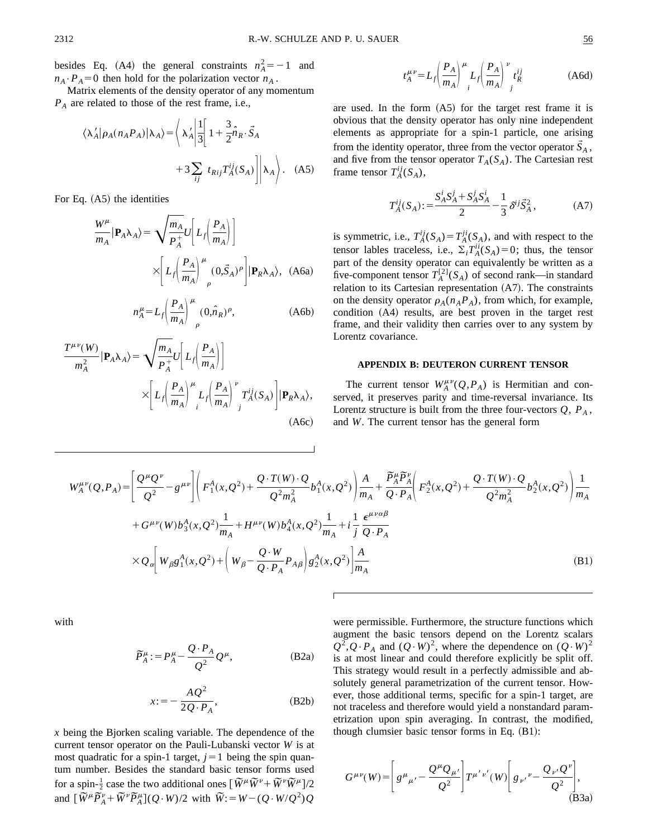besides Eq. (A4) the general constraints  $n_A^2 = -1$  and  $n_A \cdot P_A = 0$  then hold for the polarization vector  $n_A$ .

Matrix elements of the density operator of any momentum *PA* are related to those of the rest frame, i.e.,

$$
\langle \lambda_A' | \rho_A(n_A P_A) | \lambda_A \rangle = \left\langle \lambda_A' \left| \frac{1}{3} \left[ 1 + \frac{3}{2} \hat{n}_R \cdot \vec{S}_A + 3 \sum_{ij} t_{Rij} T_A^{ij}(S_A) \right] \right| \lambda_A \right\rangle. \quad (A5)
$$

For Eq.  $(A5)$  the identities

$$
\frac{W^{\mu}}{m_{A}}|\mathbf{P}_{A}\lambda_{A}\rangle = \sqrt{\frac{m_{A}}{P_{A}^{+}}}U\left[L_{f}\left(\frac{P_{A}}{m_{A}}\right)\right]
$$

$$
\times \left[L_{f}\left(\frac{P_{A}}{m_{A}}\right)^{\mu}(0,\vec{S}_{A})^{\rho}\right]|\mathbf{P}_{R}\lambda_{A}\rangle, (A6a)
$$

$$
n_A^{\mu} = L_f \left(\frac{P_A}{m_A}\right)^{\mu} \left(0, \hat{n}_R\right)^{\rho},\tag{A6b}
$$

$$
\frac{T^{\mu\nu}(W)}{m_A^2}|\mathbf{P}_A\lambda_A\rangle = \sqrt{\frac{m_A}{P_A^+}} U\left[L_f\left(\frac{P_A}{m_A}\right)\right]
$$

$$
\times \left[L_f\left(\frac{P_A}{m_A}\right)^{\mu} L_f\left(\frac{P_A}{m_A}\right)^{\nu} T_A^{ij}(S_A)\right]|\mathbf{P}_R\lambda_A\rangle,
$$
(A6c)

$$
t_A^{\mu\nu} = L_f \left(\frac{P_A}{m_A}\right)^{\mu} L_f \left(\frac{P_A}{m_A}\right)^{\nu} t_R^{ij}
$$
 (A6d)

are used. In the form  $(A5)$  for the target rest frame it is obvious that the density operator has only nine independent elements as appropriate for a spin-1 particle, one arising from the identity operator, three from the vector operator  $S_A$ , and five from the tensor operator  $T_A(S_A)$ . The Cartesian rest frame tensor  $T_A^{ij}(S_A)$ ,

$$
T_A^{ij}(S_A) := \frac{S_A^i S_A^j + S_A^j S_A^i}{2} - \frac{1}{3} \delta^{ij} \vec{S}_A^2, \tag{A7}
$$

is symmetric, i.e.,  $T_A^{ij}(S_A) = T_A^{ji}(S_A)$ , and with respect to the tensor lables traceless, i.e.,  $\Sigma_i T_A^{ii}(S_A) = 0$ ; thus, the tensor part of the density operator can equivalently be written as a five-component tensor  $T_A^{[2]}(S_A)$  of second rank—in standard relation to its Cartesian representation  $(A7)$ . The constraints on the density operator  $\rho_A(n_A P_A)$ , from which, for example, condition (A4) results, are best proven in the target rest frame, and their validity then carries over to any system by Lorentz covariance.

# **APPENDIX B: DEUTERON CURRENT TENSOR**

The current tensor  $W_A^{\mu\nu}(Q, P_A)$  is Hermitian and conserved, it preserves parity and time-reversal invariance. Its Lorentz structure is built from the three four-vectors  $Q$ ,  $P_A$ , and *W*. The current tensor has the general form

$$
W_{A}^{\mu\nu}(Q, P_{A}) = \left[ \frac{Q^{\mu}Q^{\nu}}{Q^{2}} - g^{\mu\nu} \right] \left( F_{1}^{A}(x, Q^{2}) + \frac{Q \cdot T(W) \cdot Q}{Q^{2}m_{A}^{2}} b_{1}^{A}(x, Q^{2}) \right) \frac{A}{m_{A}} + \frac{\tilde{P}_{A}^{\mu}\tilde{P}_{A}^{\nu}}{Q \cdot P_{A}} \left( F_{2}^{A}(x, Q^{2}) + \frac{Q \cdot T(W) \cdot Q}{Q^{2}m_{A}^{2}} b_{2}^{A}(x, Q^{2}) \right) \frac{1}{m_{A}} + G^{\mu\nu}(W) b_{3}^{A}(x, Q^{2}) \frac{1}{m_{A}} + H^{\mu\nu}(W) b_{4}^{A}(x, Q^{2}) \frac{1}{m_{A}} + i \frac{1}{j} \frac{\epsilon^{\mu\nu\alpha\beta}}{Q \cdot P_{A}}
$$
\n
$$
\times Q_{\alpha} \left[ W_{\beta} g_{1}^{A}(x, Q^{2}) + \left( W_{\beta} - \frac{Q \cdot W}{Q \cdot P_{A}} P_{A\beta} \right) g_{2}^{A}(x, Q^{2}) \right] \frac{A}{m_{A}}
$$
\n(B1)

with

$$
\widetilde{P}_{A}^{\mu} := P_{A}^{\mu} - \frac{Q \cdot P_{A}}{Q^{2}} Q^{\mu},
$$
\n(B2a)

$$
x = -\frac{AQ^2}{2Q \cdot P_A},
$$
 (B2b)

*x* being the Bjorken scaling variable. The dependence of the current tensor operator on the Pauli-Lubanski vector *W* is at most quadratic for a spin-1 target,  $j=1$  being the spin quantum number. Besides the standard basic tensor forms used for a spin- $\frac{1}{2}$  case the two additional ones  $\left[ \vec{W}^{\mu} \vec{W}^{\nu} + \vec{W}^{\nu} \vec{W}^{\mu} \right] / 2$ and  $[\widetilde{W}^{\mu}\widetilde{P}_{A}^{\nu} + \widetilde{W}^{\nu}\widetilde{P}_{A}^{\mu}](Q \cdot W)/2$  with  $\widetilde{W} = W - (Q \cdot W/Q^2)Q$ 

were permissible. Furthermore, the structure functions which augment the basic tensors depend on the Lorentz scalars  $Q^2$ ,  $Q \cdot P_A$  and  $(Q \cdot W)^2$ , where the dependence on  $(Q \cdot W)^2$ is at most linear and could therefore explicitly be split off. This strategy would result in a perfectly admissible and absolutely general parametrization of the current tensor. However, those additional terms, specific for a spin-1 target, are not traceless and therefore would yield a nonstandard parametrization upon spin averaging. In contrast, the modified, though clumsier basic tensor forms in Eq.  $(B1)$ :

$$
G^{\mu\nu}(W) = \left[ g^{\mu}_{\mu'} - \frac{Q^{\mu}Q_{\mu'}}{Q^2} \right] T^{\mu'\nu'}(W) \left[ g_{\nu'}^{\ \ \nu} - \frac{Q_{\nu'}Q^{\nu}}{Q^2} \right],
$$
\n(B3a)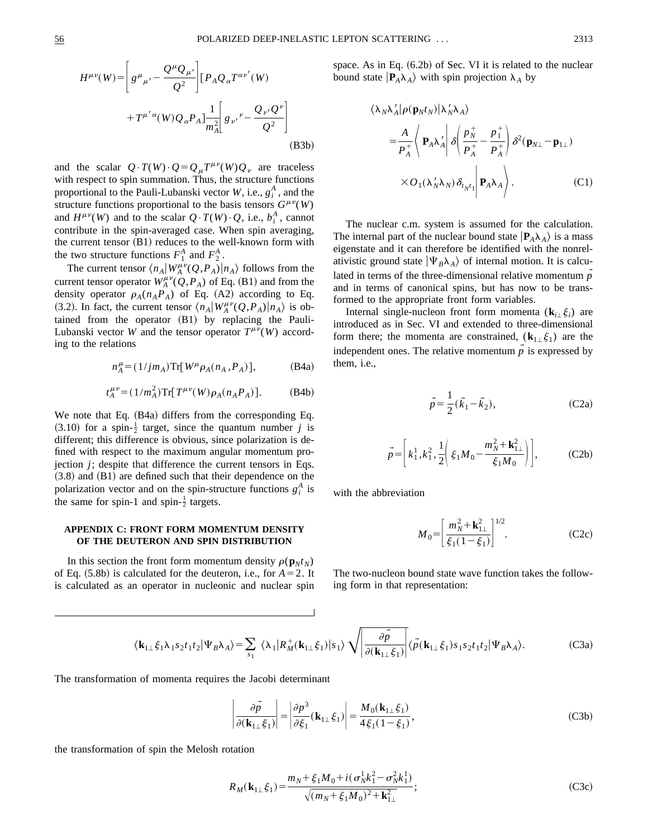$$
H^{\mu\nu}(W) = \left[ g^{\mu}{}_{\mu'} - \frac{Q^{\mu}Q_{\mu'}}{Q^2} \right] \left[ P_A Q_{\alpha} T^{\alpha\nu'}(W) + T^{\mu'}{}^{\alpha}(W) Q_{\alpha} P_A \right] \frac{1}{m_A^2} \left[ g_{\nu'}{}^{\nu} - \frac{Q_{\nu'} Q^{\nu}}{Q^2} \right]
$$
\n(B3b)

and the scalar  $Q \cdot T(W) \cdot Q = Q_{\mu} T^{\mu \nu}(W) Q_{\nu}$  are traceless with respect to spin summation. Thus, the structure functions proportional to the Pauli-Lubanski vector  $W$ , i.e.,  $g_i^A$ , and the structure functions proportional to the basis tensors  $G^{\mu\nu}(W)$ and  $H^{\mu\nu}(W)$  and to the scalar  $Q \cdot T(W) \cdot Q$ , i.e.,  $b_i^A$ , cannot contribute in the spin-averaged case. When spin averaging, the current tensor  $(B1)$  reduces to the well-known form with the two structure functions  $F_1^A$  and  $F_2^A$ .

The current tensor  $\langle n_A | W_A^{\mu\nu}(Q, P_A) | n_A \rangle$  follows from the current tensor operator  $W_A^{\mu\nu}(Q, P_A)$  of Eq. (B1) and from the density operator  $\rho_A(n_A P_A)$  of Eq. (A2) according to Eq. (3.2). In fact, the current tensor  $\langle n_A | W_A^{\mu\nu}(Q, P_A) | n_A \rangle$  is obtained from the operator (B1) by replacing the Pauli-Lubanski vector *W* and the tensor operator  $T^{\mu\nu}(W)$  according to the relations

$$
n_A^{\mu} = (1/jm_A) \operatorname{Tr} [W^{\mu} \rho_A(n_A, P_A)], \tag{B4a}
$$

$$
t_A^{\mu\nu} = (1/m_A^2) \text{Tr} [T^{\mu\nu}(W)\rho_A(n_A P_A)]. \tag{B4b}
$$

We note that Eq.  $(B4a)$  differs from the corresponding Eq.  $(3.10)$  for a spin- $\frac{1}{2}$  target, since the quantum number *j* is different; this difference is obvious, since polarization is defined with respect to the maximum angular momentum projection  $j$ ; despite that difference the current tensors in Eqs.  $(3.8)$  and  $(B1)$  are defined such that their dependence on the polarization vector and on the spin-structure functions  $g_i^A$  is the same for spin-1 and spin- $\frac{1}{2}$  targets.

# **APPENDIX C: FRONT FORM MOMENTUM DENSITY OF THE DEUTERON AND SPIN DISTRIBUTION**

In this section the front form momentum density  $\rho(\mathbf{p}_N t_N)$ of Eq.  $(5.8b)$  is calculated for the deuteron, i.e., for  $A=2$ . It is calculated as an operator in nucleonic and nuclear spin space. As in Eq.  $(6.2b)$  of Sec. VI it is related to the nuclear bound state  $|\mathbf{P}_A \lambda_A\rangle$  with spin projection  $\lambda_A$  by

$$
\langle \lambda_N \lambda'_A | \rho(\mathbf{p}_N t_N) | \lambda'_N \lambda_A \rangle
$$
  
=  $\frac{A}{P_A^+} \langle \mathbf{P}_A \lambda'_A | \delta \left( \frac{p_N^+}{P_A^+} - \frac{p_1^+}{P_A^+} \right) \delta^2 (\mathbf{p}_{N\perp} - \mathbf{p}_{1\perp})$   
 $\times O_1(\lambda'_N \lambda_N) \delta_{t_{N}t_1} \rangle \mathbf{P}_A \lambda_A \rangle.$  (C1)

The nuclear c.m. system is assumed for the calculation. The internal part of the nuclear bound state  $|\mathbf{P}_A \lambda_A\rangle$  is a mass eigenstate and it can therefore be identified with the nonrelativistic ground state  $|\Psi_B \lambda_A \rangle$  of internal motion. It is calculated in terms of the three-dimensional relative momentum *p* and in terms of canonical spins, but has now to be transformed to the appropriate front form variables.

Internal single-nucleon front form momenta  $(\mathbf{k}_i, \xi_i)$  are introduced as in Sec. VI and extended to three-dimensional form there; the momenta are constrained,  $(\mathbf{k}_{1j}|\xi_1)$  are the independent ones. The relative momentum  $p$  is expressed by them, i.e.,

$$
\vec{p} = \frac{1}{2} (\vec{k}_1 - \vec{k}_2),
$$
 (C2a)

$$
\vec{p} = \left[ k_1^1, k_1^2, \frac{1}{2} \left( \xi_1 M_0 - \frac{m_N^2 + \mathbf{k}_{1\perp}^2}{\xi_1 M_0} \right) \right],
$$
 (C2b)

with the abbreviation

$$
M_0 = \left[\frac{m_N^2 + \mathbf{k}_{1\perp}^2}{\xi_1(1 - \xi_1)}\right]^{1/2}.
$$
 (C2c)

The two-nucleon bound state wave function takes the following form in that representation:

$$
\langle \mathbf{k}_{1\perp} \xi_1 \lambda_1 s_2 t_1 t_2 | \Psi_B \lambda_A \rangle = \sum_{s_1} \langle \lambda_1 | R_M^+(\mathbf{k}_{1\perp} \xi_1) | s_1 \rangle \sqrt{\left| \frac{\partial \vec{p}}{\partial (\mathbf{k}_{1\perp} \xi_1)} \right|} \langle \vec{p} (\mathbf{k}_{1\perp} \xi_1) s_1 s_2 t_1 t_2 | \Psi_B \lambda_A \rangle.
$$
 (C3a)

The transformation of momenta requires the Jacobi determinant

$$
\left| \frac{\partial \vec{p}}{\partial (\mathbf{k}_{1\perp} \xi_1)} \right| = \left| \frac{\partial p^3}{\partial \xi_1} (\mathbf{k}_{1\perp} \xi_1) \right| = \frac{M_0(\mathbf{k}_{1\perp} \xi_1)}{4 \xi_1 (1 - \xi_1)},
$$
(C3b)

the transformation of spin the Melosh rotation

$$
R_M(\mathbf{k}_{1\perp}\xi_1) = \frac{m_N + \xi_1 M_0 + i(\sigma_N^1 k_1^2 - \sigma_N^2 k_1^1)}{\sqrt{(m_N + \xi_1 M_0)^2 + \mathbf{k}_{1\perp}^2}};
$$
 (C3c)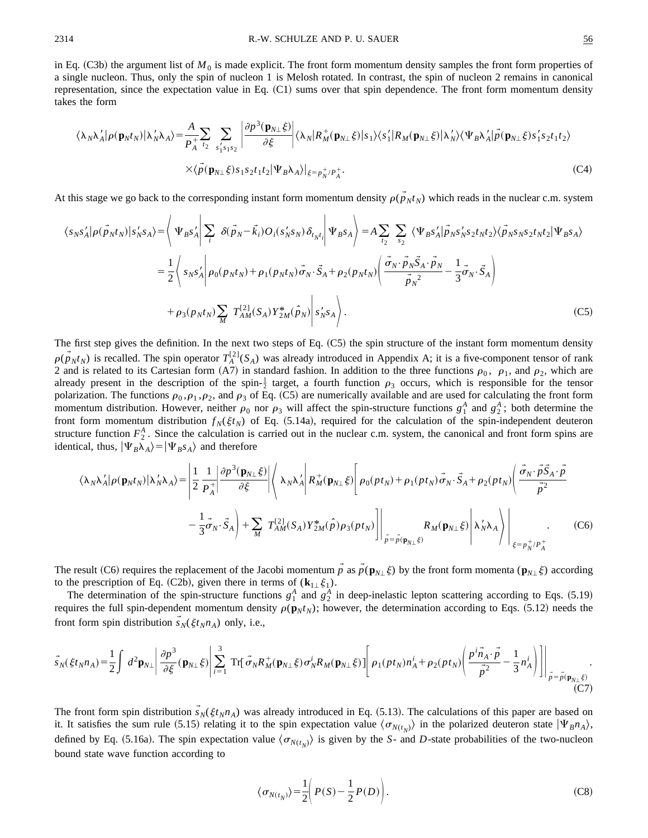in Eq. (C3b) the argument list of  $M_0$  is made explicit. The front form momentum density samples the front form properties of a single nucleon. Thus, only the spin of nucleon 1 is Melosh rotated. In contrast, the spin of nucleon 2 remains in canonical representation, since the expectation value in Eq.  $(C1)$  sums over that spin dependence. The front form momentum density takes the form

$$
\langle \lambda_N \lambda'_A | \rho(\mathbf{p}_N t_N) | \lambda'_N \lambda_A \rangle = \frac{A}{P_A^+} \sum_{t_2} \sum_{s'_1 s_1 s_2} \left| \frac{\partial p^3(\mathbf{p}_{N\perp} \xi)}{\partial \xi} \right| \langle \lambda_N | R_M^+(\mathbf{p}_{N\perp} \xi) | s_1 \rangle \langle s'_1 | R_M(\mathbf{p}_{N\perp} \xi) | \lambda'_N \rangle \langle \Psi_B \lambda'_A | \vec{p}(\mathbf{p}_{N\perp} \xi) s'_1 s_2 t_1 t_2 \rangle
$$
  
 
$$
\times \langle \vec{p}(\mathbf{p}_{N\perp} \xi) s_1 s_2 t_1 t_2 | \Psi_B \lambda_A \rangle |_{\xi = p_N^+ / P_A^+}. \tag{C4}
$$

At this stage we go back to the corresponding instant form momentum density  $\rho(\vec{p}_N t_N)$  which reads in the nuclear c.m. system

$$
\langle s_N s'_A | \rho(\vec{p}_N t_N) | s'_N s_A \rangle = \left\langle \Psi_B s'_A \middle| \sum_i \delta(\vec{p}_N - \vec{k}_i) O_i(s'_N s_N) \delta_{t_N t_i} \middle| \Psi_B s_A \right\rangle = A \sum_{t_2} \sum_{s_2} \left\langle \Psi_B s'_A | \vec{p}_N s'_N s_2 t_N t_2 \right\rangle \langle \vec{p}_N s_N s_2 t_N t_2 | \Psi_B s_A \rangle
$$
  

$$
= \frac{1}{2} \left\langle s_N s'_A \middle| \rho_0(p_N t_N) + \rho_1(p_N t_N) \vec{\sigma}_N \cdot \vec{S}_A + \rho_2(p_N t_N) \left( \frac{\vec{\sigma}_N \cdot \vec{p}_N \vec{S}_A \cdot \vec{p}_N}{\vec{p}_N^2} - \frac{1}{3} \vec{\sigma}_N \cdot \vec{S}_A \right) \right\rangle
$$
  
+  $\rho_3(p_N t_N) \sum_M T_{AM}^{[2]}(S_A) Y_{2M}^* (\hat{p}_N) \left| s'_N s_A \right\rangle.$  (C5)

The first step gives the definition. In the next two steps of Eq.  $(C5)$  the spin structure of the instant form momentum density  $\rho(\vec{p}_{N}t_N)$  is recalled. The spin operator  $T_A^{[2]}(S_A)$  was already introduced in Appendix A; it is a five-component tensor of rank 2 and is related to its Cartesian form (A7) in standard fashion. In addition to the three functions  $\rho_0$ ,  $\rho_1$ , and  $\rho_2$ , which are already present in the description of the spin- $\frac{1}{2}$  target, a fourth function  $\rho_3$  occurs, which is responsible for the tensor polarization. The functions  $\rho_0$ ,  $\rho_1$ ,  $\rho_2$ , and  $\rho_3$  of Eq. (C5) are numerically available and are used for calculating the front form momentum distribution. However, neither  $\rho_0$  nor  $\rho_3$  will affect the spin-structure functions  $g_1^A$  and  $g_2^A$ ; both determine the front form momentum distribution  $f_N(\xi t_N)$  of Eq. (5.14a), required for the calculation of the spin-independent deuteron structure function  $F_2^A$ . Since the calculation is carried out in the nuclear c.m. system, the canonical and front form spins are identical, thus,  $|\Psi_B \lambda_A\rangle = |\Psi_B s_A\rangle$  and therefore

$$
\langle \lambda_N \lambda'_A | \rho(\mathbf{p}_N t_N) | \lambda'_N \lambda_A \rangle = \left| \frac{1}{2} \frac{1}{P_A^+} \right| \frac{\partial p^3(\mathbf{p}_{N\perp} \xi)}{\partial \xi} \left| \left\langle \lambda_N \lambda'_A \right| R_M^+(\mathbf{p}_{N\perp} \xi) \left[ \rho_0 (p t_N) + \rho_1 (p t_N) \vec{\sigma}_N \cdot \vec{S}_A + \rho_2 (p t_N) \left( \frac{\vec{\sigma}_N \cdot \vec{p} \vec{S}_A \cdot \vec{p}}{\vec{p}^2} \right) \right. \\ \left. - \frac{1}{3} \vec{\sigma}_N \cdot \vec{S}_A \right) + \sum_M T_{AM}^{[2]}(S_A) Y_{2M}^*(\hat{p}) \rho_3 (p t_N) \left| \left| \sum_{\vec{p} = \vec{p}(\mathbf{p}_{N\perp} \xi)} R_M(\mathbf{p}_{N\perp} \xi) \right| \lambda'_N \lambda_A \right> \right|_{\xi = p_N^+ / P_A^+} . \tag{C6}
$$

The result (C6) requires the replacement of the Jacobi momentum  $\vec{p}$  as  $\vec{p}(\mathbf{p}_{N\perp}\xi)$  by the front form momenta ( $\mathbf{p}_{N\perp}\xi$ ) according to the prescription of Eq. (C2b), given there in terms of  $(\mathbf{k}_{1\perp} \xi_1)$ .

The determination of the spin-structure functions  $g_1^A$  and  $g_2^A$  in deep-inelastic lepton scattering according to Eqs. (5.19) requires the full spin-dependent momentum density  $\rho(\mathbf{p}_N t_N)$ ; however, the determination according to Eqs. (5.12) needs the front form spin distribution  $\vec{s}_N(\xi t_N n_A)$  only, i.e.,

$$
\vec{s}_{N}(\xi t_{N}n_{A}) = \frac{1}{2} \int d^{2} \mathbf{p}_{N\perp} \left| \frac{\partial p^{3}}{\partial \xi} (\mathbf{p}_{N\perp} \xi) \right|_{i=1}^{3} \text{Tr}[\vec{\sigma}_{N} R_{M}^{+}(\mathbf{p}_{N\perp} \xi) \sigma_{N}^{i} R_{M}(\mathbf{p}_{N\perp} \xi)] \left[ \rho_{1}(p t_{N}) n_{A}^{i} + \rho_{2}(p t_{N}) \left( \frac{p^{i} \vec{n}_{A} \cdot \vec{p}}{\vec{p}^{2}} - \frac{1}{3} n_{A}^{i} \right) \right] \Big|_{\vec{p} = \vec{p}(\mathbf{p}_{N\perp} \xi)}.
$$
\n(C7)

The front form spin distribution  $\vec{s}_N(\xi t_N n_A)$  was already introduced in Eq. (5.13). The calculations of this paper are based on it. It satisfies the sum rule (5.15) relating it to the spin expectation value  $\langle \sigma_{N(t_N)} \rangle$  in the polarized deuteron state  $|\Psi_B n_A \rangle$ , defined by Eq. (5.16a). The spin expectation value  $\langle \sigma_{N(t_N)} \rangle$  is given by the *S*- and *D*-state probabilities of the two-nucleon bound state wave function according to

$$
\langle \sigma_{N(t_N)} \rangle = \frac{1}{2} \left( P(S) - \frac{1}{2} P(D) \right). \tag{C8}
$$